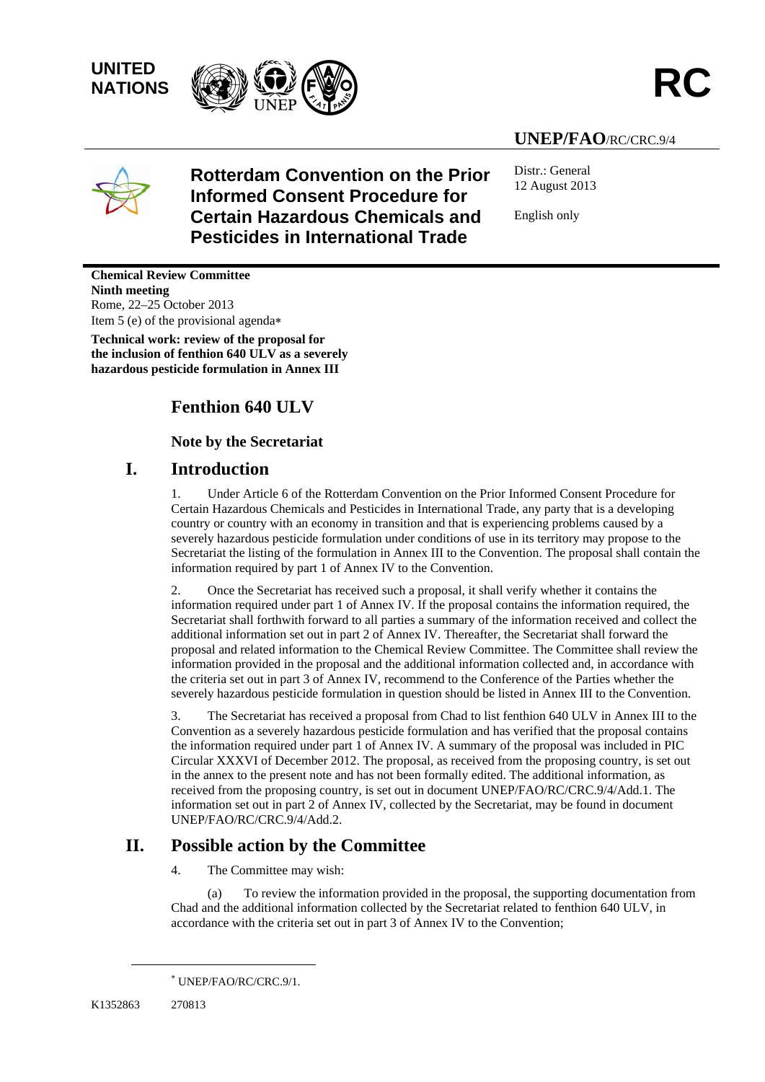**UNITED** 



#### **UNEP/FAO**/RC/CRC.9/4



#### **Rotterdam Convention on the Prior Informed Consent Procedure for Certain Hazardous Chemicals and Pesticides in International Trade**

Distr.: General 12 August 2013

English only

**Chemical Review Committee Ninth meeting**  Rome, 22–25 October 2013 Item 5 (e) of the provisional agenda

**Technical work: review of the proposal for the inclusion of fenthion 640 ULV as a severely hazardous pesticide formulation in Annex III** 

#### **Fenthion 640 ULV**

 **Note by the Secretariat** 

#### **I. Introduction**

1. Under Article 6 of the Rotterdam Convention on the Prior Informed Consent Procedure for Certain Hazardous Chemicals and Pesticides in International Trade, any party that is a developing country or country with an economy in transition and that is experiencing problems caused by a severely hazardous pesticide formulation under conditions of use in its territory may propose to the Secretariat the listing of the formulation in Annex III to the Convention. The proposal shall contain the information required by part 1 of Annex IV to the Convention.

2. Once the Secretariat has received such a proposal, it shall verify whether it contains the information required under part 1 of Annex IV. If the proposal contains the information required, the Secretariat shall forthwith forward to all parties a summary of the information received and collect the additional information set out in part 2 of Annex IV. Thereafter, the Secretariat shall forward the proposal and related information to the Chemical Review Committee. The Committee shall review the information provided in the proposal and the additional information collected and, in accordance with the criteria set out in part 3 of Annex IV, recommend to the Conference of the Parties whether the severely hazardous pesticide formulation in question should be listed in Annex III to the Convention.

3. The Secretariat has received a proposal from Chad to list fenthion 640 ULV in Annex III to the Convention as a severely hazardous pesticide formulation and has verified that the proposal contains the information required under part 1 of Annex IV. A summary of the proposal was included in PIC Circular XXXVI of December 2012. The proposal, as received from the proposing country, is set out in the annex to the present note and has not been formally edited. The additional information, as received from the proposing country, is set out in document UNEP/FAO/RC/CRC.9/4/Add.1. The information set out in part 2 of Annex IV, collected by the Secretariat, may be found in document UNEP/FAO/RC/CRC.9/4/Add.2.

#### **II. Possible action by the Committee**

4. The Committee may wish:

(a) To review the information provided in the proposal, the supporting documentation from Chad and the additional information collected by the Secretariat related to fenthion 640 ULV, in accordance with the criteria set out in part 3 of Annex IV to the Convention;

l

 UNEP/FAO/RC/CRC.9/1.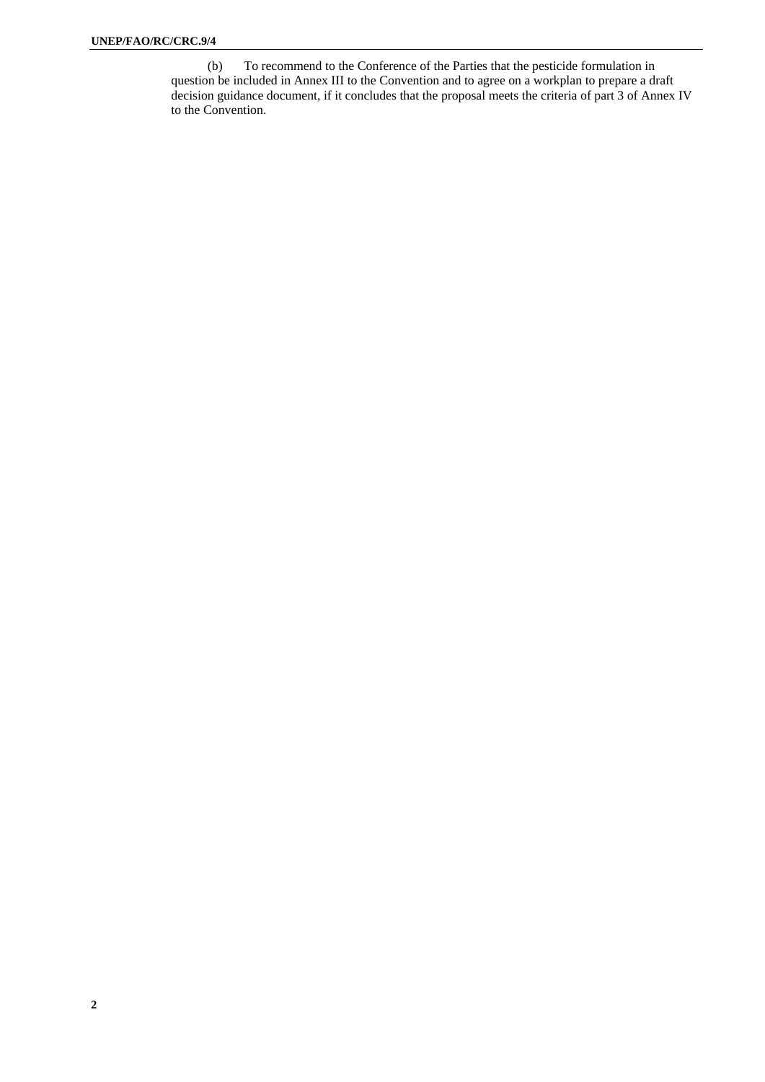(b) To recommend to the Conference of the Parties that the pesticide formulation in question be included in Annex III to the Convention and to agree on a workplan to prepare a draft decision guidance document, if it concludes that the proposal meets the criteria of part 3 of Annex IV to the Convention.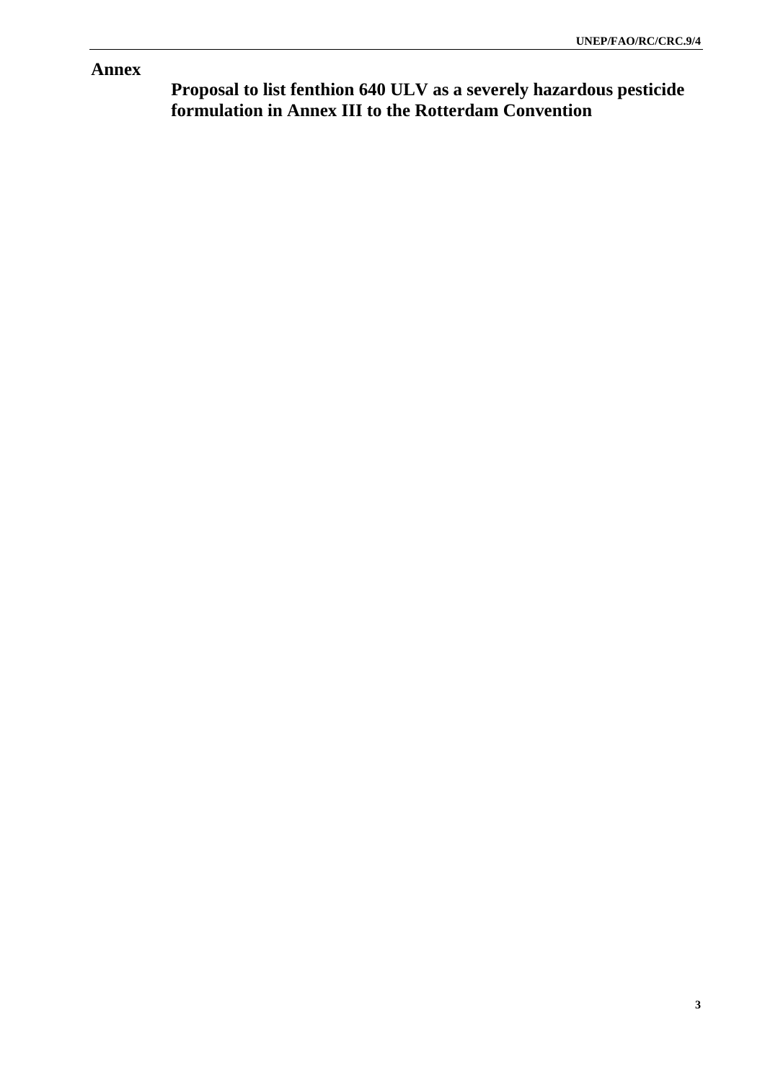#### **Annex**

**Proposal to list fenthion 640 ULV as a severely hazardous pesticide formulation in Annex III to the Rotterdam Convention**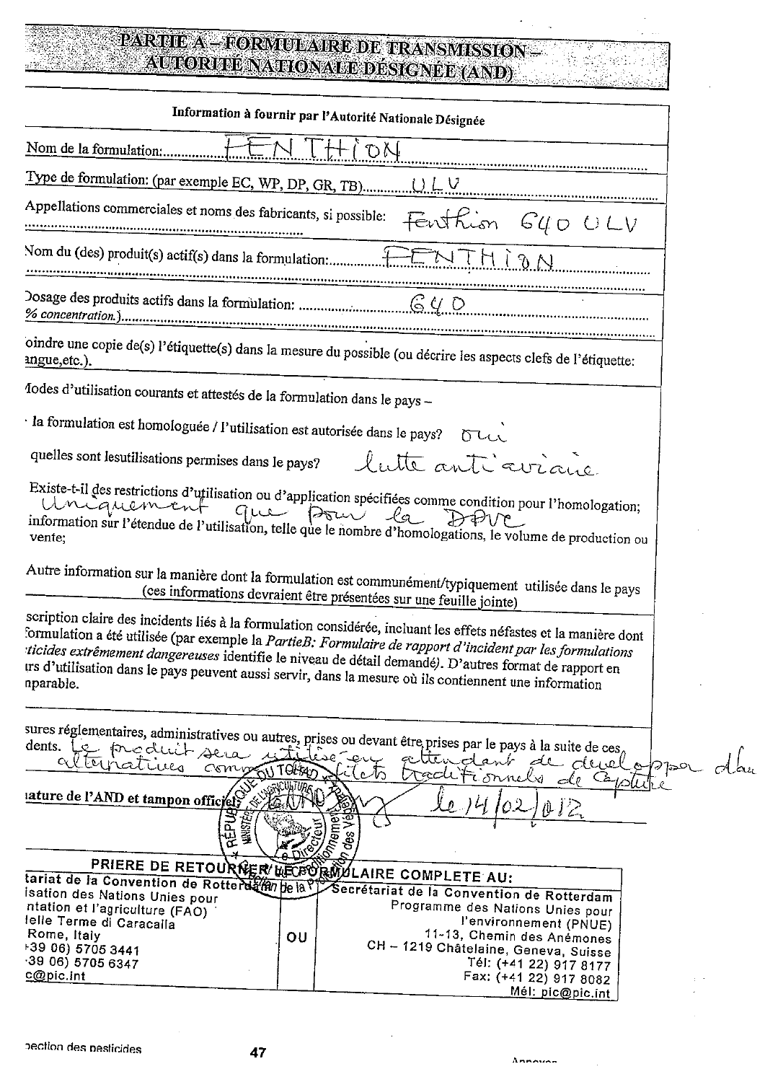# PARTIE A - FORMULAIRE DE TRANSMISSION -<br>- AUTORITE NATIONALE DESIGNÉE (AND)

| Information à fournir par l'Autorité Nationale Désignée                                                                                                                                                                                                                                                                                                                                                                                          |  |
|--------------------------------------------------------------------------------------------------------------------------------------------------------------------------------------------------------------------------------------------------------------------------------------------------------------------------------------------------------------------------------------------------------------------------------------------------|--|
| Nom de la formulation:                                                                                                                                                                                                                                                                                                                                                                                                                           |  |
|                                                                                                                                                                                                                                                                                                                                                                                                                                                  |  |
| Appellations commerciales et noms des fabricants, si possible:<br>Fenthion G40 ULV                                                                                                                                                                                                                                                                                                                                                               |  |
| ENTHION                                                                                                                                                                                                                                                                                                                                                                                                                                          |  |
|                                                                                                                                                                                                                                                                                                                                                                                                                                                  |  |
| oindre une copie de(s) l'étiquette(s) dans la mesure du possible (ou décrire les aspects clefs de l'étiquette:                                                                                                                                                                                                                                                                                                                                   |  |
| 1odes d'utilisation courants et attestés de la formulation dans le pays -                                                                                                                                                                                                                                                                                                                                                                        |  |
| · la formulation est homologuée / l'utilisation est autorisée dans le pays?                                                                                                                                                                                                                                                                                                                                                                      |  |
| quelles sont lesutilisations permises dans le pays?<br>lutte anticorrane                                                                                                                                                                                                                                                                                                                                                                         |  |
| Existe-t-il des restrictions d'utilisation ou d'application spécifiées comme condition pour l'homologation;<br>Unique mondial d'anticipation de la disponencie de la production de la production de l'atilisation, telle que le nombre d'homologations, le volume de production ou                                                                                                                                                               |  |
| Autre information sur la manière dont la formulation est communément/typiquement utilisée dans le pays<br>(ces informations devraient être présentées sur une feuille jointe)                                                                                                                                                                                                                                                                    |  |
| scription claire des incidents liés à la formulation considérée, incluant les effets néfastes et la manière dont<br>formulation a été utilisée (par exemple la PartieB: Formulaire de rapport d'incident par les formulations<br>ticides extrêmement dangereuses identifie le niveau de détail demandé). D'autres format de rapport en<br>trs d'utilisation dans le pays peuvent aussi servir, dans la mesure où ils contiennent une information |  |
| sures réglementaires, administratives ou autres, prises ou devant être prises par le pays à la suite de ces,<br>dents. Le produit sera 15<br>Tilise eu<br>attendant de developpe<br>altricatives<br>Commo<br>TOther<br>ەلەر<br>ach<br>Fiornely de Cappell<br>lature de l'AND et tampon officier                                                                                                                                                  |  |
| REPU<br>des                                                                                                                                                                                                                                                                                                                                                                                                                                      |  |
| PRIERE DE RETOURNER MECFORMULAIRE COMPLETE AU:                                                                                                                                                                                                                                                                                                                                                                                                   |  |
| tariat de la Convention de Rotterdam je la Vy Secrétariat de la Convention de Rotterdam                                                                                                                                                                                                                                                                                                                                                          |  |
| isation des Nations Unies pour<br>Programme des Nations Unies pour<br>ntation et l'agriculture (FAO)                                                                                                                                                                                                                                                                                                                                             |  |
| felle Terme di Caracalla<br>l'environnement (PNUE)                                                                                                                                                                                                                                                                                                                                                                                               |  |
| 11-13, Chemin des Anémones<br>Rome, Italy<br>OU<br>CH - 1219 Châtelaine, Geneva, Suisse<br>+39 06) 5705 3441                                                                                                                                                                                                                                                                                                                                     |  |
| $-3906$ ) 5705 6347<br>Tél: (+41 22) 917 8177                                                                                                                                                                                                                                                                                                                                                                                                    |  |
| c@pic.int<br>Fax: (+41 22) 917 8082                                                                                                                                                                                                                                                                                                                                                                                                              |  |
| Mél: pic@pic.int                                                                                                                                                                                                                                                                                                                                                                                                                                 |  |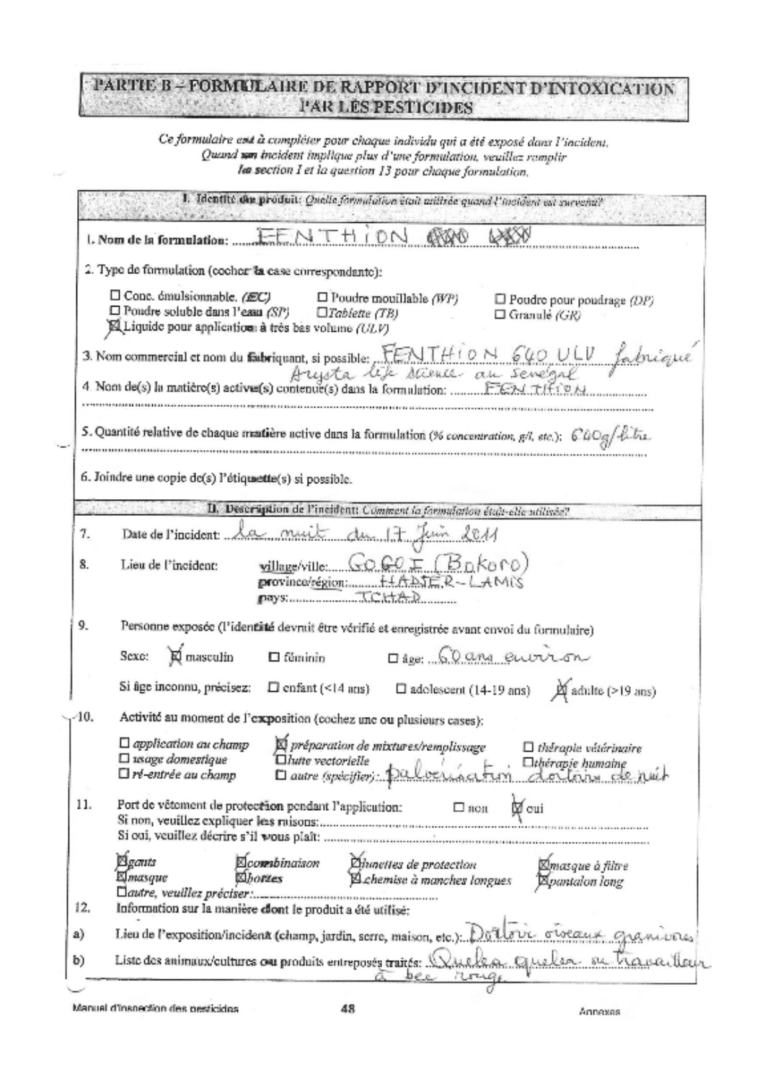#### PARTIE B-FORMULAIRE DE RAPPORT D'INCIDENT D'INTOXICATION **PAR LES PESTICIDES**  $\Gamma$  at

Ce formulaire est à compléter pour chaque individu qui a été exposé dans l'incident. Quand sen incident implique plus d'une formulation, veuillez remplir lea section I et la question 13 pour chaque formulation.

|                                                                                            | 1. Identité du produit: Quelle formulation était atilisée quand l'incident est survenu?                                                                |                                                                                                                                                                                                                   |  |  |  |  |
|--------------------------------------------------------------------------------------------|--------------------------------------------------------------------------------------------------------------------------------------------------------|-------------------------------------------------------------------------------------------------------------------------------------------------------------------------------------------------------------------|--|--|--|--|
|                                                                                            |                                                                                                                                                        |                                                                                                                                                                                                                   |  |  |  |  |
|                                                                                            | 2. Type de formulation (cocher la case correspondante):                                                                                                |                                                                                                                                                                                                                   |  |  |  |  |
|                                                                                            | $\Box$ Conc. émulsionnable. (EC)<br>$\Box$ Poudre soluble dans l'essa (SP) $\Box$ Tablette (TB)<br>A Liquide pour applications à très bas volume (ULV) | $\Box$ Poudre mouillable (WP)<br>$\Box$ Poudre pour poudrage $\langle DP \rangle$<br>$\Box$ Granule (GR)                                                                                                          |  |  |  |  |
|                                                                                            |                                                                                                                                                        | 3. Nom commercial et nom du fabriquant, si possible: FENTHION 640 ULV fabrique                                                                                                                                    |  |  |  |  |
|                                                                                            |                                                                                                                                                        | 4 Nom de(s) la matière(s) active(s) contenue(s) dans la formulation: FENTIFIEN                                                                                                                                    |  |  |  |  |
|                                                                                            |                                                                                                                                                        | 5. Quantité relative de chaque mattière active dans la formulation (% concentration, g/l, etc.); CuOg/hibia.                                                                                                      |  |  |  |  |
|                                                                                            | 6. Joindre une copie de(s) l'étiquette(s) si possible.                                                                                                 |                                                                                                                                                                                                                   |  |  |  |  |
|                                                                                            |                                                                                                                                                        | II. Description de l'incident: Comment la formulation étois-elle utilisée?                                                                                                                                        |  |  |  |  |
| 7.                                                                                         |                                                                                                                                                        | Date de l'incident: la nuit du 17 Juin 2011                                                                                                                                                                       |  |  |  |  |
| 8.                                                                                         | Lieu de l'incident:                                                                                                                                    | willage/ville: GOGOE (BDKOrO)<br>pays: Same T.C.t.t.A.D                                                                                                                                                           |  |  |  |  |
| 9.                                                                                         |                                                                                                                                                        | Personne exposée (l'identité devrait être vérifié et enregistrée avant envoi du formulaire)                                                                                                                       |  |  |  |  |
|                                                                                            | Sexe: Q masculin                                                                                                                                       | Dag: 60 and eurorsn<br>$\Box$ féminin                                                                                                                                                                             |  |  |  |  |
|                                                                                            | Si âge inconnu, précisez:                                                                                                                              | $\square$ adolescent (14-19 ans) $\cancel{\bowtie}$ adulte (>19 ans)<br>$\Box$ enfant (<14 aris)                                                                                                                  |  |  |  |  |
| 10.                                                                                        |                                                                                                                                                        | Activité au moment de l'exposition (cochez une ou plusieurs cases):                                                                                                                                               |  |  |  |  |
|                                                                                            | $\Box$ application au champ<br>$\Box$ usinge domestique<br>$\square$ ré-entrée au champ                                                                | D préparation de mixtures/remplissage<br>$\Box$ thérapie vátérinaire<br>Diutte vectorielle<br>Dautre (spécifier): paloeus a fum de la humaine                                                                     |  |  |  |  |
| 11.<br>Port de vêtement de protection pendant l'application:<br><b>Ø</b> cui<br>$\Box$ non |                                                                                                                                                        |                                                                                                                                                                                                                   |  |  |  |  |
|                                                                                            |                                                                                                                                                        |                                                                                                                                                                                                                   |  |  |  |  |
| 12,                                                                                        | Bgants<br>Elmasque                                                                                                                                     | <b>Ecompination</b><br>Chanettes de protection<br>⊠masque à filtre<br><b><i>Shortes</i></b><br>A chemise à manches longues<br><b>Apantalon long</b><br>Information sur la manière clont le produit a été utilisé: |  |  |  |  |
| a)                                                                                         |                                                                                                                                                        | Lieu de l'exposition/incident (champ, jardin, scrre, maison, etc.):                                                                                                                                               |  |  |  |  |
| b)                                                                                         |                                                                                                                                                        | ur orraux gramvous<br>Quelen action<br>Liste des animaux/cultures ou produits entreposés traités: WAAAAAA                                                                                                         |  |  |  |  |

Manual d'inspection des pesticides

Annexas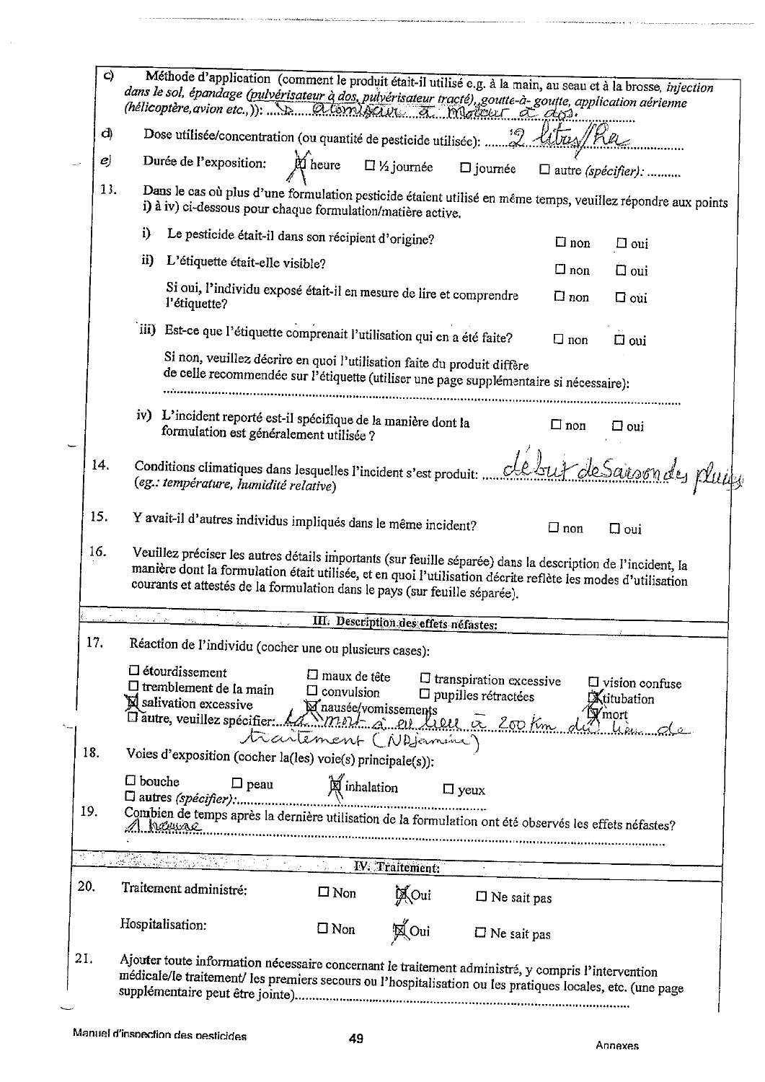|                                                                                                                                                                                   | C)  |               |                                                           |                                       |                                                                                                                                                                                                                                                                                                           |                     |                                       |                                                                 |                       |                              |                    | Méthode d'application (comment le produit était-il utilisé e.g. à la main, au seau et à la brosse, injection |
|-----------------------------------------------------------------------------------------------------------------------------------------------------------------------------------|-----|---------------|-----------------------------------------------------------|---------------------------------------|-----------------------------------------------------------------------------------------------------------------------------------------------------------------------------------------------------------------------------------------------------------------------------------------------------------|---------------------|---------------------------------------|-----------------------------------------------------------------|-----------------------|------------------------------|--------------------|--------------------------------------------------------------------------------------------------------------|
|                                                                                                                                                                                   | d)  |               |                                                           |                                       | Dose utilisée/concentration (ou quantité de pesticide utilisée): 2 litres/heu                                                                                                                                                                                                                             |                     |                                       |                                                                 |                       |                              |                    |                                                                                                              |
|                                                                                                                                                                                   | e)  |               | Durée de l'exposition:                                    |                                       | <b>M</b> heure                                                                                                                                                                                                                                                                                            |                     | $\Box$ % journée                      | $\square$ journée                                               |                       | $\square$ autre (spécifier): |                    |                                                                                                              |
| 13.<br>Dans le cas où plus d'une formulation pesticide étaient utilisé en même temps, veuillez répondre aux points<br>i) à iv) ci-dessous pour chaque formulation/matière active. |     |               |                                                           |                                       |                                                                                                                                                                                                                                                                                                           |                     |                                       |                                                                 |                       |                              |                    |                                                                                                              |
|                                                                                                                                                                                   |     | i)            |                                                           |                                       | Le pesticide était-il dans son récipient d'origine?                                                                                                                                                                                                                                                       |                     |                                       |                                                                 |                       | $\square$ non                | $\Box$ oui         |                                                                                                              |
|                                                                                                                                                                                   |     | $\mathbf{ii}$ |                                                           | L'étiquette était-elle visible?       |                                                                                                                                                                                                                                                                                                           |                     |                                       |                                                                 |                       | $\square$ non                | $\Box$ oui         |                                                                                                              |
|                                                                                                                                                                                   |     |               | l'étiquette?                                              |                                       | Si oui, l'individu exposé était-il en mesure de lire et comprendre                                                                                                                                                                                                                                        |                     |                                       |                                                                 |                       | $\Box$ non                   | $\Box$ oui         |                                                                                                              |
|                                                                                                                                                                                   |     |               |                                                           |                                       | iii) Est-ce que l'étiquette comprenait l'utilisation qui en a été faite?                                                                                                                                                                                                                                  |                     |                                       |                                                                 |                       | $\Box$ non                   | $\square$ oui      |                                                                                                              |
|                                                                                                                                                                                   |     |               |                                                           |                                       | Si non, veuillez décrire en quoi l'utilisation faite du produit diffère<br>de celle recommendée sur l'étiquette (utiliser une page supplémentaire si nécessaire):                                                                                                                                         |                     |                                       |                                                                 |                       |                              |                    |                                                                                                              |
|                                                                                                                                                                                   |     |               |                                                           |                                       | iv) L'incident reporté est-il spécifique de la manière dont la<br>formulation est généralement utilisée ?                                                                                                                                                                                                 |                     |                                       |                                                                 |                       | $\Box$ non                   | $\square$ oui      |                                                                                                              |
|                                                                                                                                                                                   | 14. |               |                                                           | (eg.: température, humidité relative) | Conditions climatiques dans lesquelles l'incident s'est produit:                                                                                                                                                                                                                                          |                     |                                       |                                                                 |                       |                              |                    | début de Saison des plui                                                                                     |
|                                                                                                                                                                                   | 15. |               |                                                           |                                       | Y avait-il d'autres individus impliqués dans le même incident?                                                                                                                                                                                                                                            |                     |                                       |                                                                 |                       | $\Box$ non                   | $\Box$ oui         |                                                                                                              |
|                                                                                                                                                                                   | 16. |               |                                                           |                                       | Veuillez préciser les autres détails importants (sur feuille séparée) dans la description de l'incident, la<br>manière dont la formulation était utilisée, et en quoi l'utilisation décrite reflète les modes d'utilisation<br>courants et attestés de la formulation dans le pays (sur feuille séparée). |                     |                                       |                                                                 |                       |                              |                    |                                                                                                              |
|                                                                                                                                                                                   |     |               |                                                           |                                       |                                                                                                                                                                                                                                                                                                           |                     | III. Description des effets nefastes: |                                                                 |                       |                              |                    |                                                                                                              |
|                                                                                                                                                                                   | 17. |               |                                                           |                                       | Réaction de l'individu (cocher une ou plusieurs cases):                                                                                                                                                                                                                                                   |                     |                                       |                                                                 |                       |                              |                    |                                                                                                              |
|                                                                                                                                                                                   |     |               | $\Box$ étourdissement<br>$\boxtimes$ salivation excessive | $\Box$ tremblement de la main         | $\square$ maux de tête<br>$\Box$ convulsion<br>El salivation excessive<br>autre, veuillez spécifier: Annumerica en Luis a 200 km<br>trailement (NA) camina)                                                                                                                                               |                     |                                       | $\square$ transpiration excessive<br>$\Box$ pupilles rétractées |                       |                              | <b>Xtitubation</b> | $\Box$ vision confuse<br>Domort<br>Dukumale                                                                  |
| 18.                                                                                                                                                                               |     |               |                                                           |                                       | Voies d'exposition (cocher la(les) voie(s) principale(s)):                                                                                                                                                                                                                                                |                     |                                       |                                                                 |                       |                              |                    |                                                                                                              |
| 19.                                                                                                                                                                               |     | $\Box$ bouche |                                                           | $\Box$ peau                           |                                                                                                                                                                                                                                                                                                           | <b>X</b> inhalation |                                       | $\Box$ yeux                                                     |                       |                              |                    |                                                                                                              |
|                                                                                                                                                                                   |     |               |                                                           |                                       | Combien de temps après la dernière utilisation de la formulation ont été observés les effets néfastes?                                                                                                                                                                                                    |                     |                                       |                                                                 |                       |                              |                    |                                                                                                              |
|                                                                                                                                                                                   |     |               |                                                           |                                       | 医氯丙基氯                                                                                                                                                                                                                                                                                                     |                     | <b>IV.</b> Traitement:                |                                                                 |                       |                              |                    |                                                                                                              |
| 20.                                                                                                                                                                               |     |               | Traitement administré:                                    |                                       | $\square$ Non                                                                                                                                                                                                                                                                                             |                     | <b>X</b> Oui                          |                                                                 | $\Box$ Ne sait pas    |                              |                    |                                                                                                              |
|                                                                                                                                                                                   |     |               | Hospitalisation:                                          |                                       | $\square$ Non                                                                                                                                                                                                                                                                                             |                     | <b>X</b> Oui                          |                                                                 | $\square$ Ne sait pas |                              |                    |                                                                                                              |
| 21.                                                                                                                                                                               |     |               |                                                           |                                       | Ajouter toute information nécessaire concernant le traitement administré, y compris l'intervention<br>médicale/le traitement/ les premiers secours ou l'hospitalisation ou les pratiques locales, etc. (une page                                                                                          |                     |                                       |                                                                 |                       |                              |                    |                                                                                                              |

u por ند دها

Ń

ر<br>موسیقی اولین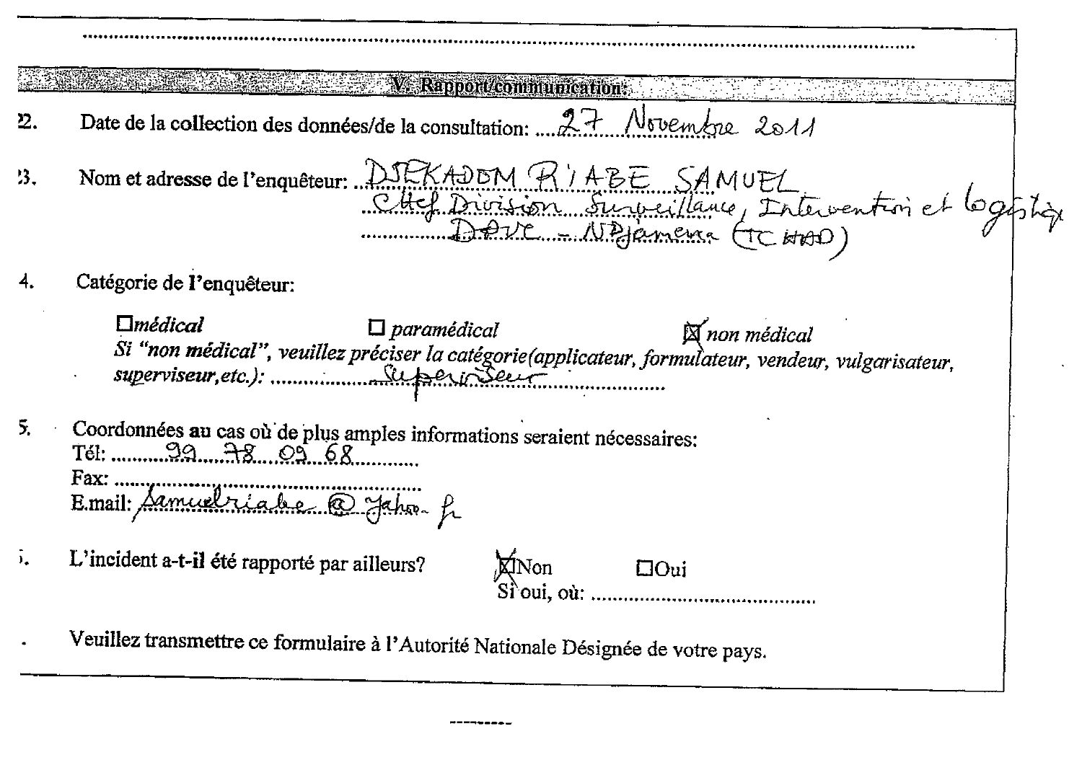## **W** Rapport communication:

- Date de la collection des données/de la consultation: 27 Novembre 2011  $\mathbf{2}$ .
- Nom et adresse de l'enquêteur: DJEKADEM RYABE SAMUEL<br>CHEL DANGE DANGE SUrveillance, Intervention et logistique  $13.$
- Catégorie de l'enquêteur:

 $m\'edical$  $\Box$  paramédical  $\boxtimes$  non médical 

 $5.$ Coordonnées au cas où de plus amples informations seraient nécessaires: 

L'incident a-t-il été rapporté par ailleurs?  $\mathbf{L}$ **XINon**  $\Box$ Oui  $S$ i oui.  $o$ *u*:

Veuillez transmettre ce formulaire à l'Autorité Nationale Désignée de votre pays.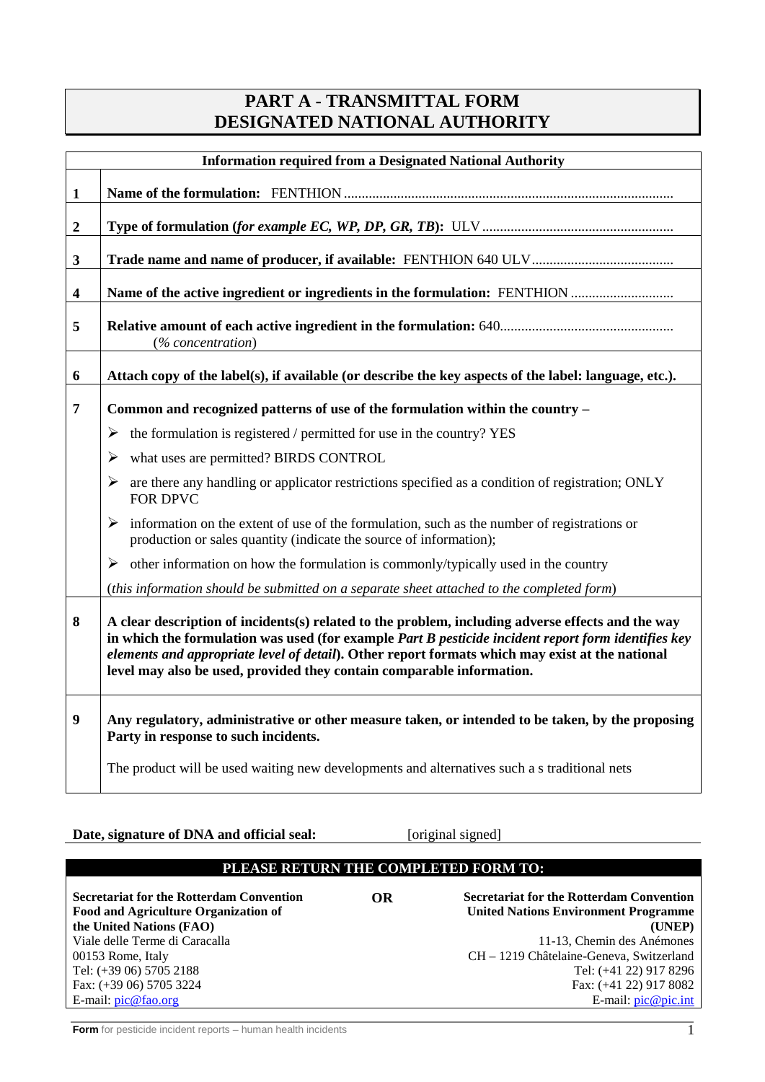#### **PART A - TRANSMITTAL FORM DESIGNATED NATIONAL AUTHORITY**

|                         | <b>Information required from a Designated National Authority</b>                                                                                                                                                                                                                                                                                                                     |
|-------------------------|--------------------------------------------------------------------------------------------------------------------------------------------------------------------------------------------------------------------------------------------------------------------------------------------------------------------------------------------------------------------------------------|
| $\mathbf{1}$            |                                                                                                                                                                                                                                                                                                                                                                                      |
| $\boldsymbol{2}$        |                                                                                                                                                                                                                                                                                                                                                                                      |
| $\mathbf{3}$            |                                                                                                                                                                                                                                                                                                                                                                                      |
| $\overline{\mathbf{4}}$ |                                                                                                                                                                                                                                                                                                                                                                                      |
| 5                       | (% concentration)                                                                                                                                                                                                                                                                                                                                                                    |
| 6                       | Attach copy of the label(s), if available (or describe the key aspects of the label: language, etc.).                                                                                                                                                                                                                                                                                |
| 7                       | Common and recognized patterns of use of the formulation within the country -                                                                                                                                                                                                                                                                                                        |
|                         | the formulation is registered / permitted for use in the country? YES<br>➤                                                                                                                                                                                                                                                                                                           |
|                         | what uses are permitted? BIRDS CONTROL<br>$\blacktriangleright$                                                                                                                                                                                                                                                                                                                      |
|                         | are there any handling or applicator restrictions specified as a condition of registration; ONLY<br>➤<br><b>FOR DPVC</b>                                                                                                                                                                                                                                                             |
|                         | information on the extent of use of the formulation, such as the number of registrations or<br>➤<br>production or sales quantity (indicate the source of information);                                                                                                                                                                                                               |
|                         | other information on how the formulation is commonly/typically used in the country<br>➤                                                                                                                                                                                                                                                                                              |
|                         | (this information should be submitted on a separate sheet attached to the completed form)                                                                                                                                                                                                                                                                                            |
| 8                       | A clear description of incidents(s) related to the problem, including adverse effects and the way<br>in which the formulation was used (for example Part B pesticide incident report form identifies key<br>elements and appropriate level of detail). Other report formats which may exist at the national<br>level may also be used, provided they contain comparable information. |
| 9                       | Any regulatory, administrative or other measure taken, or intended to be taken, by the proposing<br>Party in response to such incidents.                                                                                                                                                                                                                                             |
|                         | The product will be used waiting new developments and alternatives such a s traditional nets                                                                                                                                                                                                                                                                                         |

**Date, signature of DNA and official seal:** [original signed]

#### **PLEASE RETURN THE COMPLETED FORM TO:**

| <b>Secretariat for the Rotterdam Convention</b> | <b>OR</b> | <b>Secretariat for the Rotterdam Convention</b> |
|-------------------------------------------------|-----------|-------------------------------------------------|
| Food and Agriculture Organization of            |           | <b>United Nations Environment Programme</b>     |
| the United Nations (FAO)                        |           | (UNEP)                                          |
| Viale delle Terme di Caracalla                  |           | 11-13, Chemin des Anémones                      |
| 00153 Rome, Italy                               |           | CH – 1219 Châtelaine-Geneva, Switzerland        |
| Tel: (+39 06) 5705 2188                         |           | Tel: (+41 22) 917 8296                          |
| Fax: $(+39\,06)$ 5705 3224                      |           | Fax: $(+41 22) 917 8082$                        |
| E-mail: $pic@fao.org$                           |           | E-mail: $pic@pic.int$                           |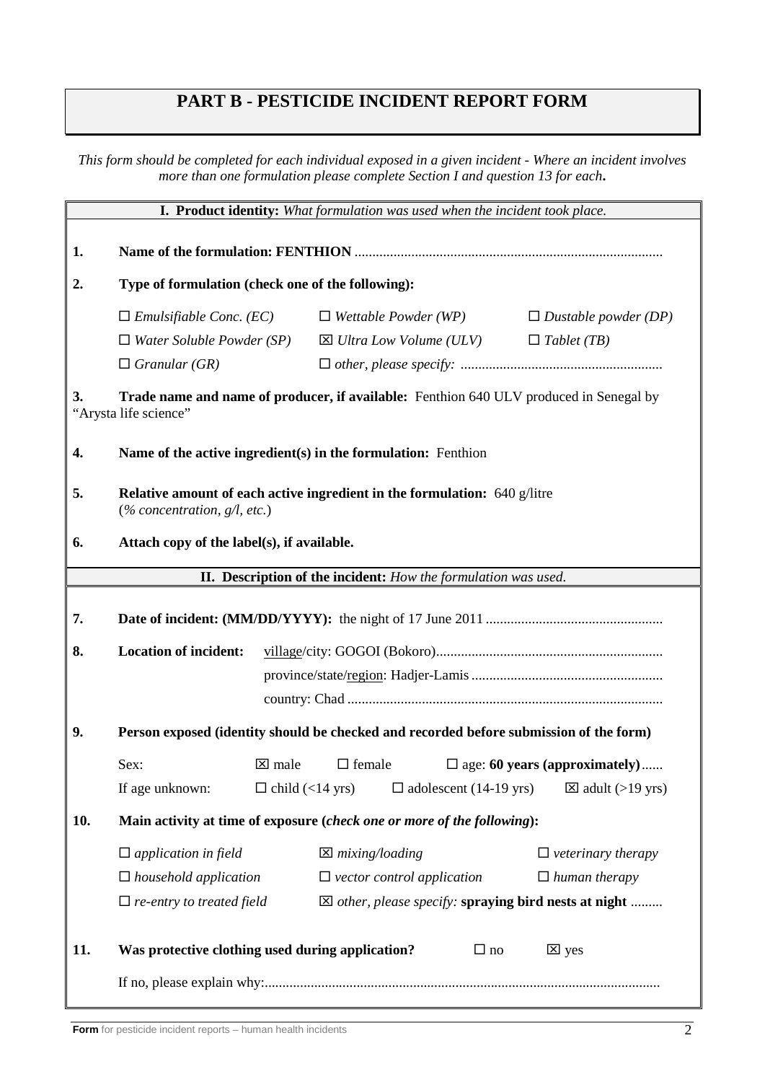## **PART B - PESTICIDE INCIDENT REPORT FORM**

*This form should be completed for each individual exposed in a given incident - Where an incident involves more than one formulation please complete Section I and question 13 for each***.**

| I. Product identity: What formulation was used when the incident took place.                                          |                                                                                                                 |                        |                            |                                                                |           |                                                                 |  |  |  |
|-----------------------------------------------------------------------------------------------------------------------|-----------------------------------------------------------------------------------------------------------------|------------------------|----------------------------|----------------------------------------------------------------|-----------|-----------------------------------------------------------------|--|--|--|
| 1.                                                                                                                    |                                                                                                                 |                        |                            |                                                                |           |                                                                 |  |  |  |
| 2.                                                                                                                    | Type of formulation (check one of the following):                                                               |                        |                            |                                                                |           |                                                                 |  |  |  |
|                                                                                                                       | $\Box$ Emulsifiable Conc. (EC)<br>$\Box$ Wettable Powder (WP)<br>$\Box$ Dustable powder (DP)                    |                        |                            |                                                                |           |                                                                 |  |  |  |
|                                                                                                                       | $\Box$ Water Soluble Powder (SP)                                                                                |                        |                            | $\boxtimes$ Ultra Low Volume (ULV)                             |           | $\Box$ Tablet (TB)                                              |  |  |  |
|                                                                                                                       | $\Box$ Granular (GR)                                                                                            |                        |                            |                                                                |           |                                                                 |  |  |  |
| Trade name and name of producer, if available: Fenthion 640 ULV produced in Senegal by<br>3.<br>"Arysta life science" |                                                                                                                 |                        |                            |                                                                |           |                                                                 |  |  |  |
| 4.                                                                                                                    | Name of the active ingredient(s) in the formulation: Fenthion                                                   |                        |                            |                                                                |           |                                                                 |  |  |  |
| 5.                                                                                                                    | Relative amount of each active ingredient in the formulation: 640 g/litre<br>$(\%$ concentration, $g/l$ , etc.) |                        |                            |                                                                |           |                                                                 |  |  |  |
| 6.                                                                                                                    | Attach copy of the label(s), if available.                                                                      |                        |                            |                                                                |           |                                                                 |  |  |  |
|                                                                                                                       |                                                                                                                 |                        |                            | II. Description of the incident: How the formulation was used. |           |                                                                 |  |  |  |
| 7.                                                                                                                    |                                                                                                                 |                        |                            |                                                                |           |                                                                 |  |  |  |
| 8.                                                                                                                    | <b>Location of incident:</b>                                                                                    |                        |                            |                                                                |           |                                                                 |  |  |  |
|                                                                                                                       |                                                                                                                 |                        |                            |                                                                |           |                                                                 |  |  |  |
|                                                                                                                       |                                                                                                                 |                        |                            |                                                                |           |                                                                 |  |  |  |
| 9.                                                                                                                    | Person exposed (identity should be checked and recorded before submission of the form)                          |                        |                            |                                                                |           |                                                                 |  |  |  |
|                                                                                                                       | Sex:                                                                                                            | $\boxtimes$ male       | $\Box$ female              |                                                                |           | $\square$ age: 60 years (approximately)                         |  |  |  |
|                                                                                                                       | If age unknown:                                                                                                 | $\Box$ child (<14 yrs) |                            | $\Box$ adolescent (14-19 yrs)                                  |           | $\boxtimes$ adult (>19 yrs)                                     |  |  |  |
| 10.                                                                                                                   | Main activity at time of exposure (check one or more of the following):                                         |                        |                            |                                                                |           |                                                                 |  |  |  |
|                                                                                                                       | $\Box$ application in field                                                                                     |                        | $\boxtimes$ mixing/loading |                                                                |           | $\Box$ veterinary therapy                                       |  |  |  |
|                                                                                                                       | $\Box$ household application                                                                                    |                        |                            | $\Box$ vector control application                              |           | $\Box$ human therapy                                            |  |  |  |
|                                                                                                                       | $\Box$ re-entry to treated field                                                                                |                        |                            |                                                                |           | $\boxtimes$ other, please specify: spraying bird nests at night |  |  |  |
| 11.                                                                                                                   | Was protective clothing used during application?                                                                |                        |                            |                                                                | $\Box$ no | $\boxtimes$ yes                                                 |  |  |  |
|                                                                                                                       |                                                                                                                 |                        |                            |                                                                |           |                                                                 |  |  |  |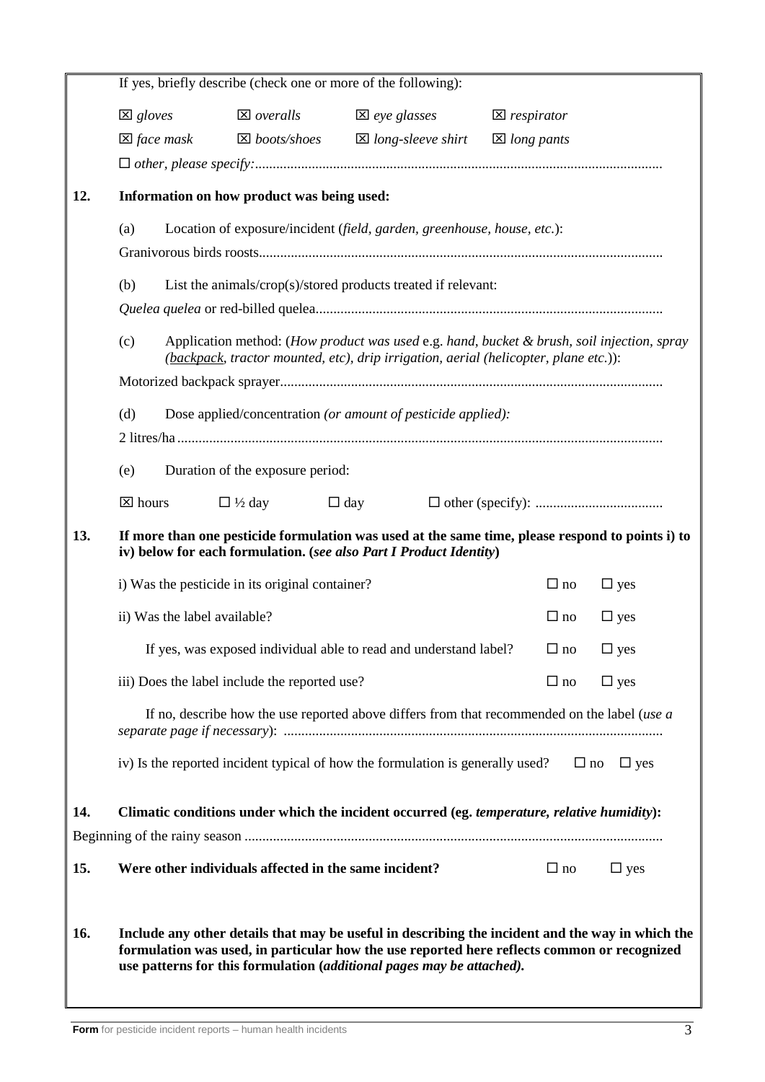|                                                                                | If yes, briefly describe (check one or more of the following):                                                                                                                                                                                                           |                                                       |                                                                                              |                        |            |  |  |  |  |
|--------------------------------------------------------------------------------|--------------------------------------------------------------------------------------------------------------------------------------------------------------------------------------------------------------------------------------------------------------------------|-------------------------------------------------------|----------------------------------------------------------------------------------------------|------------------------|------------|--|--|--|--|
|                                                                                | $\boxtimes$ gloves                                                                                                                                                                                                                                                       | $\boxtimes$ overalls                                  | $\boxtimes$ eye glasses                                                                      | $\boxtimes$ respirator |            |  |  |  |  |
|                                                                                | $\boxtimes$ face mask                                                                                                                                                                                                                                                    | $\boxtimes$ boots/shoes                               | $\boxtimes$ long-sleeve shirt                                                                | $\boxtimes$ long pants |            |  |  |  |  |
|                                                                                |                                                                                                                                                                                                                                                                          |                                                       |                                                                                              |                        |            |  |  |  |  |
| 12.                                                                            | Information on how product was being used:                                                                                                                                                                                                                               |                                                       |                                                                                              |                        |            |  |  |  |  |
| (a)<br>Location of exposure/incident (field, garden, greenhouse, house, etc.): |                                                                                                                                                                                                                                                                          |                                                       |                                                                                              |                        |            |  |  |  |  |
|                                                                                |                                                                                                                                                                                                                                                                          |                                                       |                                                                                              |                        |            |  |  |  |  |
|                                                                                | (b)<br>List the animals/crop(s)/stored products treated if relevant:                                                                                                                                                                                                     |                                                       |                                                                                              |                        |            |  |  |  |  |
|                                                                                |                                                                                                                                                                                                                                                                          |                                                       |                                                                                              |                        |            |  |  |  |  |
|                                                                                | (c)<br>Application method: (How product was used e.g. hand, bucket & brush, soil injection, spray<br>(backpack, tractor mounted, etc), drip irrigation, aerial (helicopter, plane etc.)):                                                                                |                                                       |                                                                                              |                        |            |  |  |  |  |
|                                                                                |                                                                                                                                                                                                                                                                          |                                                       |                                                                                              |                        |            |  |  |  |  |
|                                                                                | (d)                                                                                                                                                                                                                                                                      |                                                       | Dose applied/concentration (or amount of pesticide applied):                                 |                        |            |  |  |  |  |
|                                                                                |                                                                                                                                                                                                                                                                          |                                                       |                                                                                              |                        |            |  |  |  |  |
|                                                                                | (e)                                                                                                                                                                                                                                                                      | Duration of the exposure period:                      |                                                                                              |                        |            |  |  |  |  |
|                                                                                | $\boxtimes$ hours                                                                                                                                                                                                                                                        | $\Box$ 1/2 day                                        | $\Box$ day                                                                                   |                        |            |  |  |  |  |
| 13.                                                                            | If more than one pesticide formulation was used at the same time, please respond to points i) to<br>iv) below for each formulation. (see also Part I Product Identity)                                                                                                   |                                                       |                                                                                              |                        |            |  |  |  |  |
|                                                                                | i) Was the pesticide in its original container?                                                                                                                                                                                                                          | $\Box$ no                                             | $\Box$ yes                                                                                   |                        |            |  |  |  |  |
|                                                                                | ii) Was the label available?                                                                                                                                                                                                                                             |                                                       |                                                                                              | $\Box$ no              | $\Box$ yes |  |  |  |  |
|                                                                                |                                                                                                                                                                                                                                                                          |                                                       | If yes, was exposed individual able to read and understand label?                            | $\Box$ no              | $\Box$ yes |  |  |  |  |
|                                                                                |                                                                                                                                                                                                                                                                          | iii) Does the label include the reported use?         |                                                                                              | $\Box$ no              | $\Box$ yes |  |  |  |  |
|                                                                                |                                                                                                                                                                                                                                                                          |                                                       | If no, describe how the use reported above differs from that recommended on the label (use a |                        |            |  |  |  |  |
|                                                                                |                                                                                                                                                                                                                                                                          |                                                       | iv) Is the reported incident typical of how the formulation is generally used?               | $\Box$ no              | $\Box$ yes |  |  |  |  |
| 14.                                                                            |                                                                                                                                                                                                                                                                          |                                                       | Climatic conditions under which the incident occurred (eg. temperature, relative humidity):  |                        |            |  |  |  |  |
|                                                                                |                                                                                                                                                                                                                                                                          |                                                       |                                                                                              |                        |            |  |  |  |  |
| 15.                                                                            |                                                                                                                                                                                                                                                                          | Were other individuals affected in the same incident? |                                                                                              | $\Box$ no              | $\Box$ yes |  |  |  |  |
|                                                                                |                                                                                                                                                                                                                                                                          |                                                       |                                                                                              |                        |            |  |  |  |  |
| 16.                                                                            | Include any other details that may be useful in describing the incident and the way in which the<br>formulation was used, in particular how the use reported here reflects common or recognized<br>use patterns for this formulation (additional pages may be attached). |                                                       |                                                                                              |                        |            |  |  |  |  |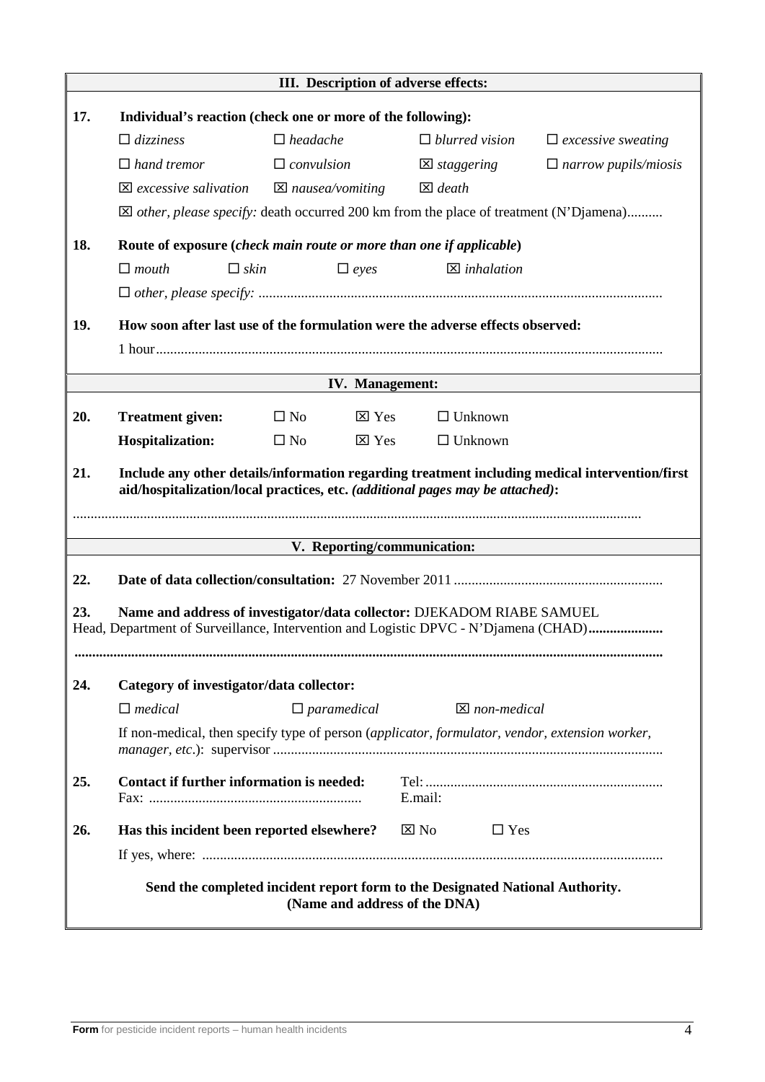|     | III. Description of adverse effects:                                                                                                                                            |                                                                               |                   |                         |                             |  |  |  |  |
|-----|---------------------------------------------------------------------------------------------------------------------------------------------------------------------------------|-------------------------------------------------------------------------------|-------------------|-------------------------|-----------------------------|--|--|--|--|
| 17. | Individual's reaction (check one or more of the following):                                                                                                                     |                                                                               |                   |                         |                             |  |  |  |  |
|     | $\Box$ dizziness                                                                                                                                                                | $\Box$ headache                                                               |                   | $\Box$ blurred vision   | $\Box$ excessive sweating   |  |  |  |  |
|     | $\Box$ hand tremor                                                                                                                                                              | $\Box$ convulsion                                                             |                   | $\boxtimes$ staggering  | $\Box$ narrow pupils/miosis |  |  |  |  |
|     | $\boxtimes$ excessive salivation                                                                                                                                                | $\boxtimes$ nausea/vomiting                                                   | $\boxtimes$ death |                         |                             |  |  |  |  |
|     | $\boxtimes$ <i>other, please specify:</i> death occurred 200 km from the place of treatment (N'Djamena)                                                                         |                                                                               |                   |                         |                             |  |  |  |  |
| 18. | Route of exposure (check main route or more than one if applicable)                                                                                                             |                                                                               |                   |                         |                             |  |  |  |  |
|     | $\Box$ mouth<br>$\Box$ skin                                                                                                                                                     | $\Box$ eyes                                                                   |                   | $\boxtimes$ inhalation  |                             |  |  |  |  |
|     |                                                                                                                                                                                 |                                                                               |                   |                         |                             |  |  |  |  |
|     |                                                                                                                                                                                 |                                                                               |                   |                         |                             |  |  |  |  |
| 19. | How soon after last use of the formulation were the adverse effects observed:                                                                                                   |                                                                               |                   |                         |                             |  |  |  |  |
|     |                                                                                                                                                                                 |                                                                               |                   |                         |                             |  |  |  |  |
|     |                                                                                                                                                                                 | <b>IV.</b> Management:                                                        |                   |                         |                             |  |  |  |  |
| 20. | <b>Treatment given:</b>                                                                                                                                                         | $\boxtimes$ Yes<br>$\Box$ No                                                  |                   | $\Box$ Unknown          |                             |  |  |  |  |
|     | <b>Hospitalization:</b>                                                                                                                                                         | $\boxtimes$ Yes<br>$\square$ No                                               |                   | $\Box$ Unknown          |                             |  |  |  |  |
| 21. |                                                                                                                                                                                 |                                                                               |                   |                         |                             |  |  |  |  |
|     | Include any other details/information regarding treatment including medical intervention/first<br>aid/hospitalization/local practices, etc. (additional pages may be attached): |                                                                               |                   |                         |                             |  |  |  |  |
|     |                                                                                                                                                                                 |                                                                               |                   |                         |                             |  |  |  |  |
|     |                                                                                                                                                                                 | V. Reporting/communication:                                                   |                   |                         |                             |  |  |  |  |
|     |                                                                                                                                                                                 |                                                                               |                   |                         |                             |  |  |  |  |
| 22. |                                                                                                                                                                                 |                                                                               |                   |                         |                             |  |  |  |  |
| 23. | Name and address of investigator/data collector: DJEKADOM RIABE SAMUEL<br>Head, Department of Surveillance, Intervention and Logistic DPVC - N'Djamena (CHAD)                   |                                                                               |                   |                         |                             |  |  |  |  |
|     |                                                                                                                                                                                 |                                                                               |                   |                         |                             |  |  |  |  |
|     |                                                                                                                                                                                 |                                                                               |                   |                         |                             |  |  |  |  |
| 24. | Category of investigator/data collector:                                                                                                                                        |                                                                               |                   |                         |                             |  |  |  |  |
|     | $\Box$ medical                                                                                                                                                                  | $\Box$ paramedical                                                            |                   | $\boxtimes$ non-medical |                             |  |  |  |  |
|     | If non-medical, then specify type of person (applicator, formulator, vendor, extension worker,                                                                                  |                                                                               |                   |                         |                             |  |  |  |  |
| 25. | <b>Contact if further information is needed:</b>                                                                                                                                |                                                                               |                   |                         |                             |  |  |  |  |
|     |                                                                                                                                                                                 |                                                                               | E.mail:           |                         |                             |  |  |  |  |
| 26. | Has this incident been reported elsewhere?                                                                                                                                      |                                                                               | $\boxtimes$ No    | $\Box$ Yes              |                             |  |  |  |  |
|     |                                                                                                                                                                                 |                                                                               |                   |                         |                             |  |  |  |  |
|     |                                                                                                                                                                                 | Send the completed incident report form to the Designated National Authority. |                   |                         |                             |  |  |  |  |
|     |                                                                                                                                                                                 | (Name and address of the DNA)                                                 |                   |                         |                             |  |  |  |  |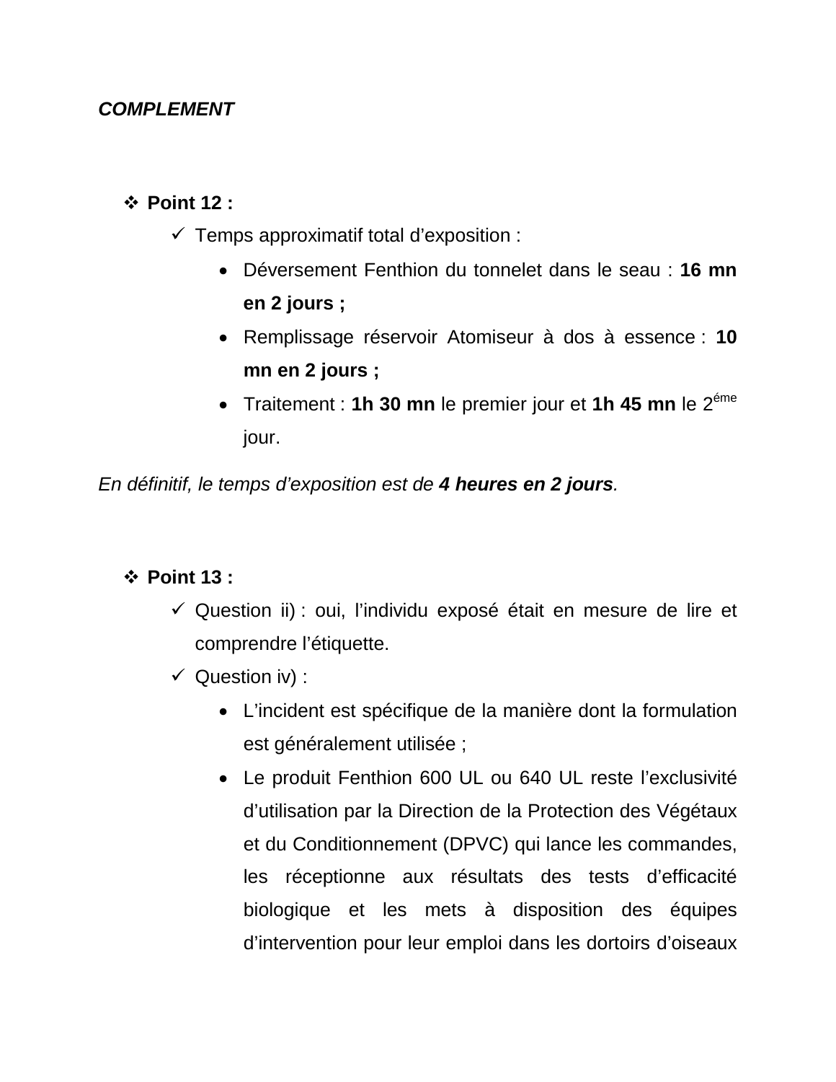#### *COMPLEMENT*

#### **Point 12 :**

- $\checkmark$  Temps approximatif total d'exposition :
	- Déversement Fenthion du tonnelet dans le seau : **16 mn en 2 jours ;**
	- Remplissage réservoir Atomiseur à dos à essence : **10 mn en 2 jours ;**
	- Traitement : **1h 30 mn** le premier jour et **1h 45 mn** le 2éme jour.

*En définitif, le temps d'exposition est de 4 heures en 2 jours.*

#### **Point 13 :**

- $\checkmark$  Question ii) : oui, l'individu exposé était en mesure de lire et comprendre l'étiquette.
- $\checkmark$  Question iv) :
	- L'incident est spécifique de la manière dont la formulation est généralement utilisée ;
	- Le produit Fenthion 600 UL ou 640 UL reste l'exclusivité d'utilisation par la Direction de la Protection des Végétaux et du Conditionnement (DPVC) qui lance les commandes, les réceptionne aux résultats des tests d'efficacité biologique et les mets à disposition des équipes d'intervention pour leur emploi dans les dortoirs d'oiseaux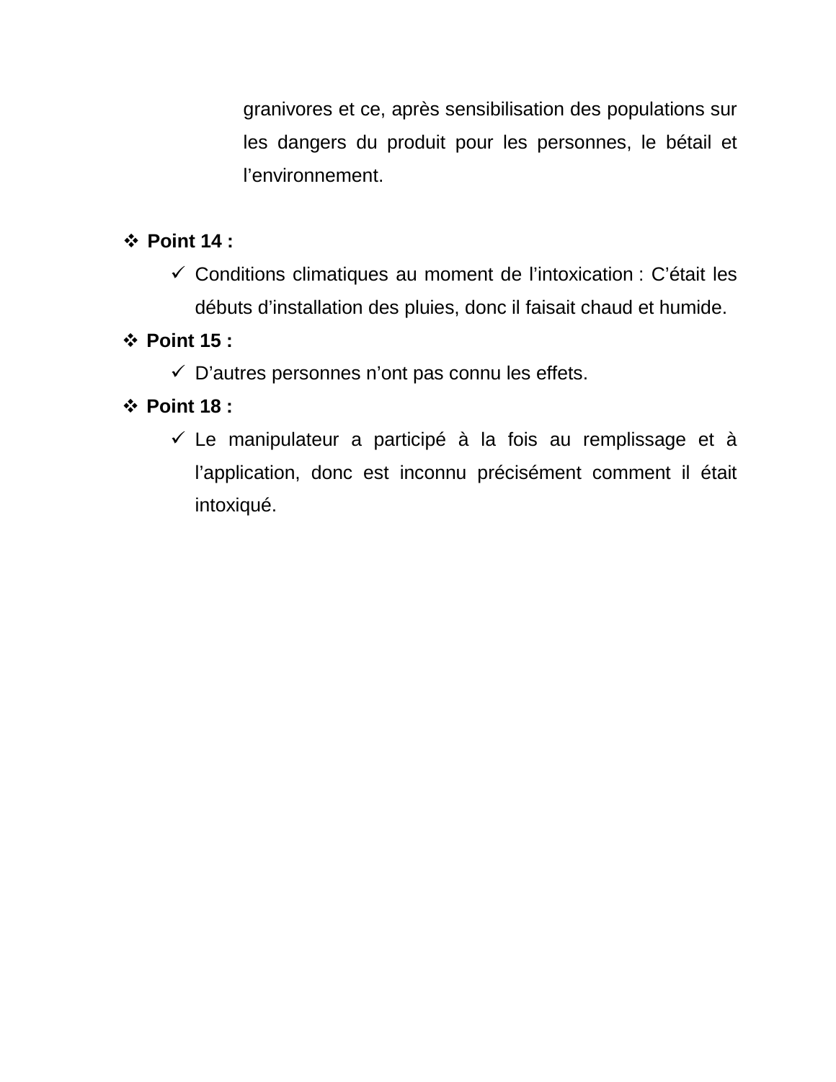granivores et ce, après sensibilisation des populations sur les dangers du produit pour les personnes, le bétail et l'environnement.

#### **Point 14 :**

 $\checkmark$  Conditions climatiques au moment de l'intoxication : C'était les débuts d'installation des pluies, donc il faisait chaud et humide.

#### **Point 15 :**

 $\checkmark$  D'autres personnes n'ont pas connu les effets.

## **Point 18 :**

 $\checkmark$  Le manipulateur a participé à la fois au remplissage et à l'application, donc est inconnu précisément comment il était intoxiqué.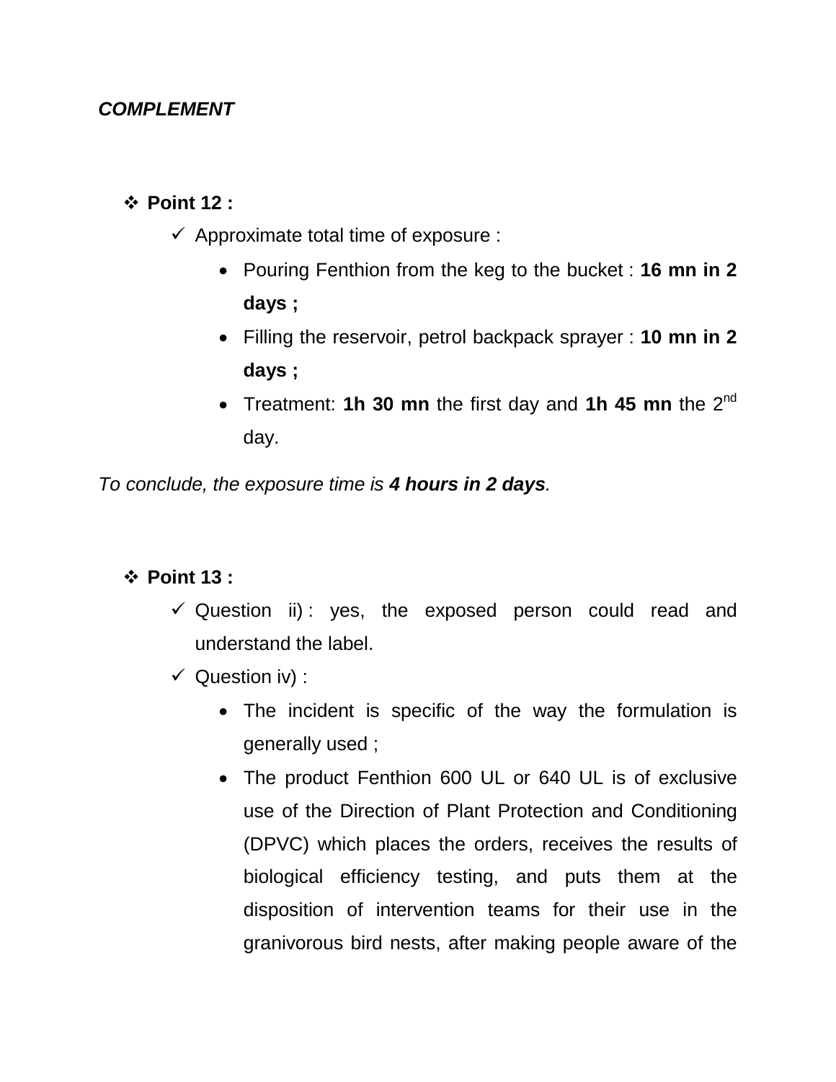#### *COMPLEMENT*

#### **Point 12 :**

- $\checkmark$  Approximate total time of exposure :
	- Pouring Fenthion from the keg to the bucket : **16 mn in 2 days ;**
	- Filling the reservoir, petrol backpack sprayer : **10 mn in 2 days ;**
	- Treatment: **1h 30 mn** the first day and **1h 45 mn** the 2<sup>nd</sup> day.

*To conclude, the exposure time is 4 hours in 2 days.*

#### **Point 13 :**

- $\checkmark$  Question ii): yes, the exposed person could read and understand the label.
- $\checkmark$  Question iv) :
	- The incident is specific of the way the formulation is generally used ;
	- The product Fenthion 600 UL or 640 UL is of exclusive use of the Direction of Plant Protection and Conditioning (DPVC) which places the orders, receives the results of biological efficiency testing, and puts them at the disposition of intervention teams for their use in the granivorous bird nests, after making people aware of the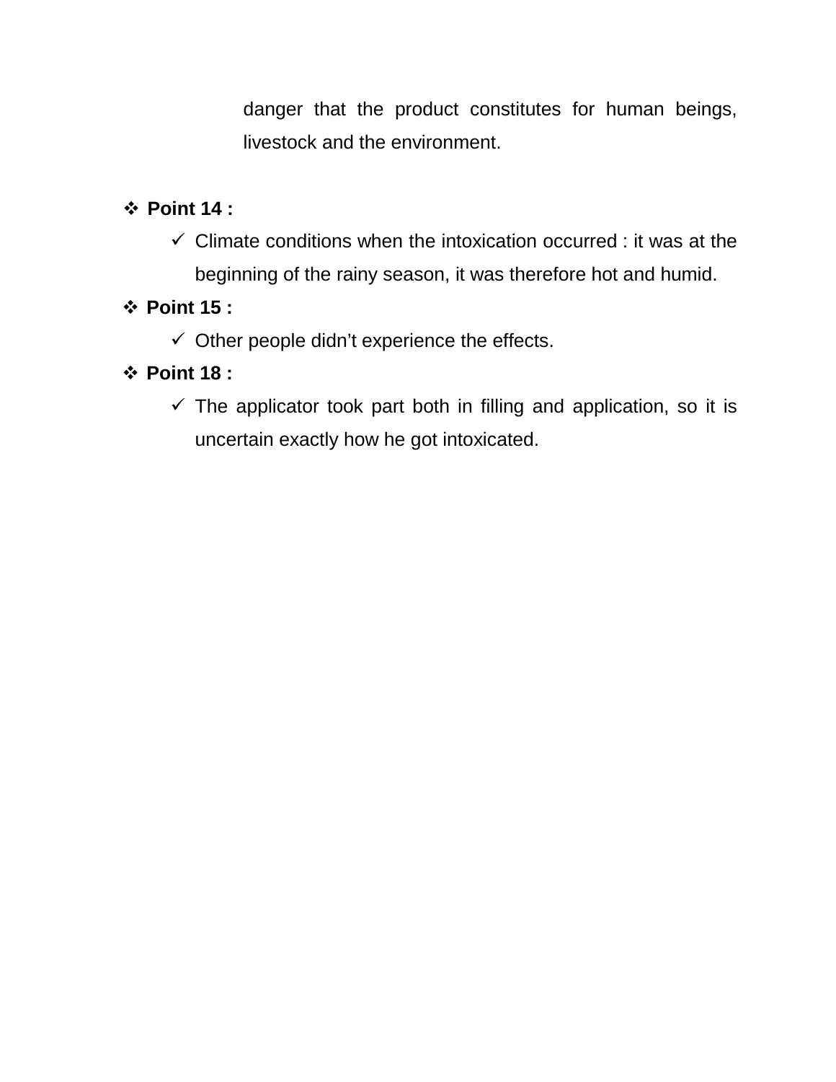danger that the product constitutes for human beings, livestock and the environment.

### **Point 14 :**

 $\checkmark$  Climate conditions when the intoxication occurred : it was at the beginning of the rainy season, it was therefore hot and humid.

#### **Point 15 :**

 $\checkmark$  Other people didn't experience the effects.

#### **Point 18 :**

 $\checkmark$  The applicator took part both in filling and application, so it is uncertain exactly how he got intoxicated.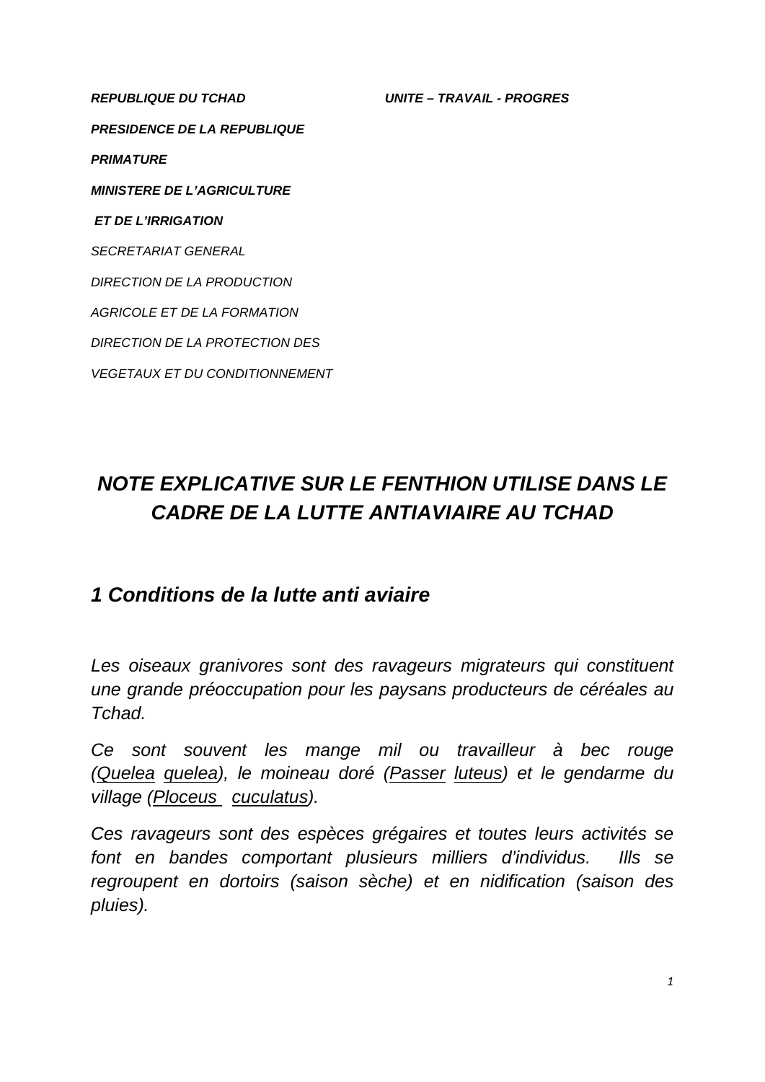*REPUBLIQUE DU TCHAD UNITE – TRAVAIL - PROGRES PRESIDENCE DE LA REPUBLIQUE PRIMATURE MINISTERE DE L'AGRICULTURE ET DE L'IRRIGATION SECRETARIAT GENERAL DIRECTION DE LA PRODUCTION AGRICOLE ET DE LA FORMATION DIRECTION DE LA PROTECTION DES VEGETAUX ET DU CONDITIONNEMENT*

# *NOTE EXPLICATIVE SUR LE FENTHION UTILISE DANS LE CADRE DE LA LUTTE ANTIAVIAIRE AU TCHAD*

# *1 Conditions de la lutte anti aviaire*

Les oiseaux granivores sont des ravageurs migrateurs qui constituent *une grande préoccupation pour les paysans producteurs de céréales au Tchad.*

*Ce sont souvent les mange mil ou travailleur à bec rouge (Quelea quelea), le moineau doré (Passer luteus) et le gendarme du village (Ploceus cuculatus ).*

*Ces ravageurs sont des espèces grégaires et toutes leurs activités se font en bandes comportant plusieurs milliers d'individus. Ills se regroupent en dortoirs (saison sèche) et en nidification (saison des pluies).*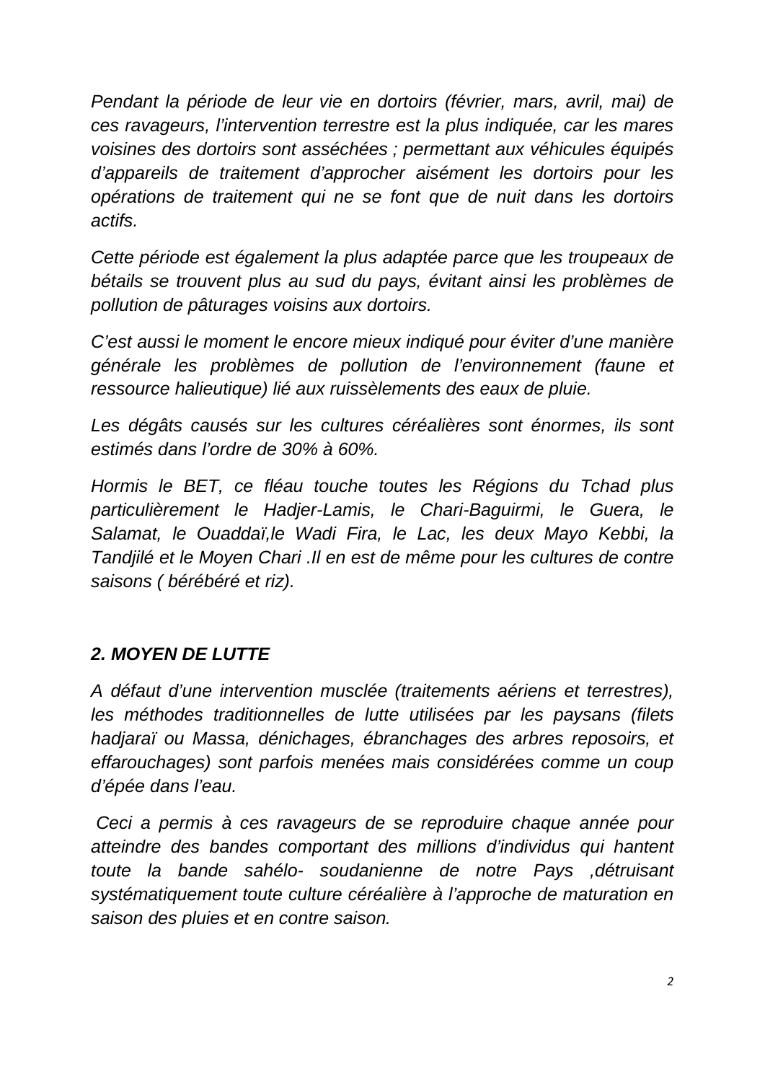*Pendant la période de leur vie en dortoirs (février, mars, avril, mai) de ces ravageurs, l'intervention terrestre est la plus indiquée, car les mares voisines des dortoirs sont asséchées ; permettant aux véhicules équipés d'appareils de traitement d'approcher aisément les dortoirs pour les opérations de traitement qui ne se font que de nuit dans les dortoirs actifs.* 

*Cette période est également la plus adaptée parce que les troupeaux de bétails se trouvent plus au sud du pays, évitant ainsi les problèmes de pollution de pâturages voisins aux dortoirs.*

*C'est aussi le moment le encore mieux indiqué pour éviter d'une manière générale les problèmes de pollution de l'environnement (faune et ressource halieutique) lié aux ruissèlements des eaux de pluie.*

Les dégâts causés sur les cultures céréalières sont énormes, ils sont *estimés dans l'ordre de 30% à 60%.*

*Hormis le BET, ce fléau touche toutes les Régions du Tchad plus particulièrement le Hadjer-Lamis, le Chari-Baguirmi, le Guera, le Salamat, le Ouaddaï,le Wadi Fira, le Lac, les deux Mayo Kebbi, la Tandjilé et le Moyen Chari .Il en est de même pour les cultures de contre saisons ( bérébéré et riz).*

#### *2. MOYEN DE LUTTE*

*A défaut d'une intervention musclée (traitements aériens et terrestres), les méthodes traditionnelles de lutte utilisées par les paysans (filets hadjaraï ou Massa, dénichages, ébranchages des arbres reposoirs, et effarouchages) sont parfois menées mais considérées comme un coup d'épée dans l'eau.*

*Ceci a permis à ces ravageurs de se reproduire chaque année pour atteindre des bandes comportant des millions d'individus qui hantent toute la bande sahélo- soudanienne de notre Pays ,détruisant systématiquement toute culture céréalière à l'approche de maturation en saison des pluies et en contre saison.*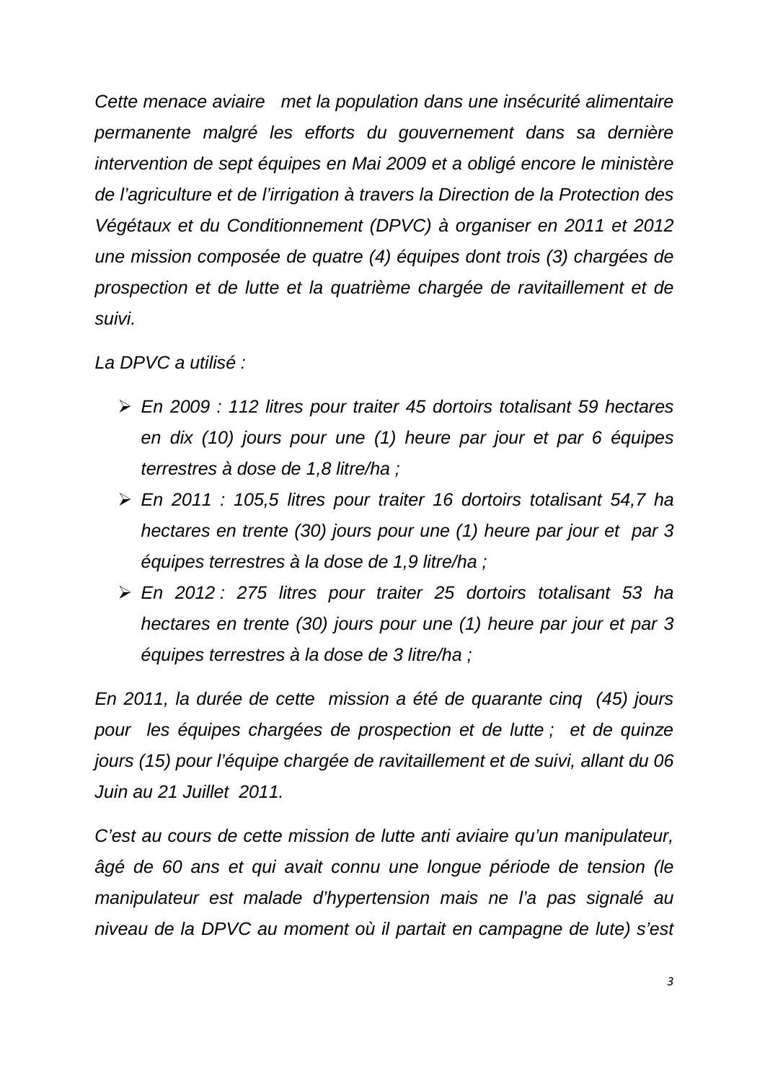*Cette menace aviaire met la population dans une insécurité alimentaire permanente malgré les efforts du gouvernement dans sa dernière intervention de sept équipes en Mai 2009 et a obligé encore le ministère de l'agriculture et de l'irrigation à travers la Direction de la Protection des Végétaux et du Conditionnement (DPVC) à organiser en 2011 et 2012 une mission composée de quatre (4) équipes dont trois (3) chargées de prospection et de lutte et la quatrième chargée de ravitaillement et de suivi.*

*La DPVC a utilisé :*

- *En 2009 : 112 litres pour traiter 45 dortoirs totalisant 59 hectares en dix (10) jours pour une (1) heure par jour et par 6 équipes terrestres à dose de 1,8 litre/ha ;*
- *En 2011 : 105,5 litres pour traiter 16 dortoirs totalisant 54,7 ha hectares en trente (30) jours pour une (1) heure par jour et par 3 équipes terrestres à la dose de 1,9 litre/ha ;*
- *En 2012 : 275 litres pour traiter 25 dortoirs totalisant 53 ha hectares en trente (30) jours pour une (1) heure par jour et par 3 équipes terrestres à la dose de 3 litre/ha ;*

*En 2011, la durée de cette mission a été de quarante cinq (45) jours pour les équipes chargées de prospection et de lutte ; et de quinze jours (15) pour l'équipe chargée de ravitaillement et de suivi, allant du 06 Juin au 21 Juillet 2011.*

*C'est au cours de cette mission de lutte anti aviaire qu'un manipulateur, âgé de 60 ans et qui avait connu une longue période de tension (le manipulateur est malade d'hypertension mais ne l'a pas signalé au niveau de la DPVC au moment où il partait en campagne de lute) s'est*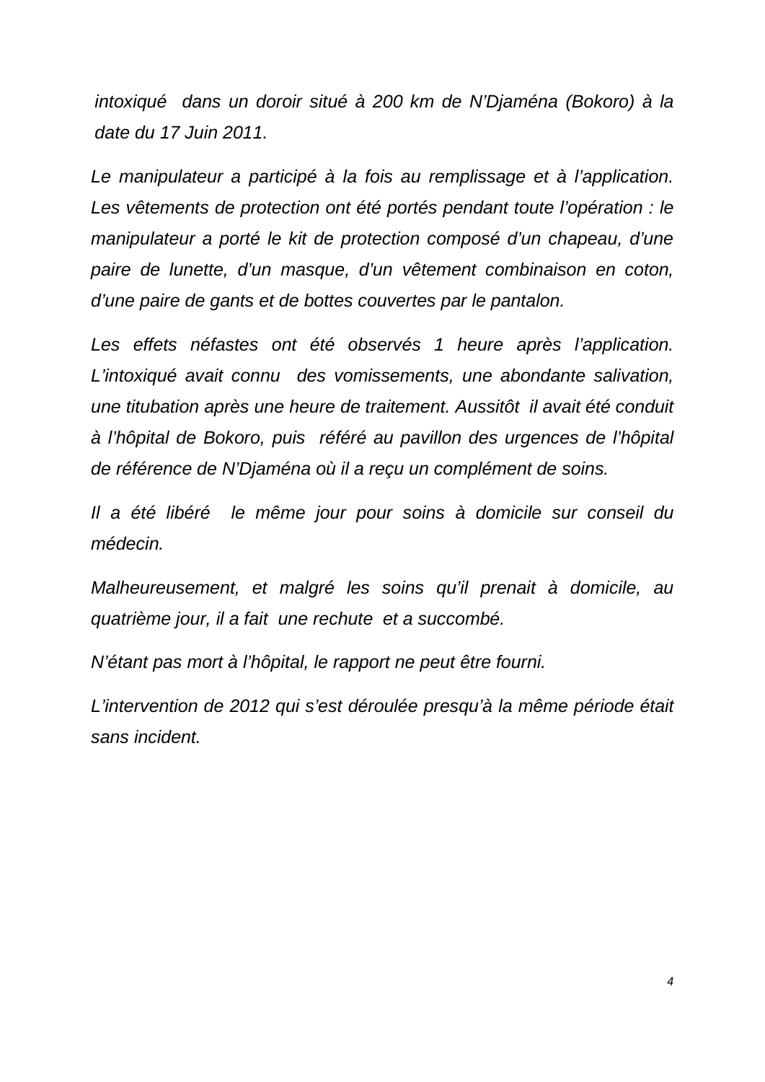*intoxiqué dans un doroir situé à 200 km de N'Djaména (Bokoro) à la date du 17 Juin 2011.*

*Le manipulateur a participé à la fois au remplissage et à l'application.* Les vêtements de protection ont été portés pendant toute l'opération : le *manipulateur a porté le kit de protection composé d'un chapeau, d'une paire de lunette, d'un masque, d'un vêtement combinaison en coton, d'une paire de gants et de bottes couvertes par le pantalon.*

Les effets néfastes ont été observés 1 heure après l'application. *L'intoxiqué avait connu des vomissements, une abondante salivation, une titubation après une heure de traitement. Aussitôt il avait été conduit à l'hôpital de Bokoro, puis référé au pavillon des urgences de l'hôpital de référence de N'Djaména où il a reçu un complément de soins.* 

*Il a été libéré le même jour pour soins à domicile sur conseil du médecin.* 

*Malheureusement, et malgré les soins qu'il prenait à domicile, au quatrième jour, il a fait une rechute et a succombé.*

*N'étant pas mort à l'hôpital, le rapport ne peut être fourni.*

*L'intervention de 2012 qui s'est déroulée presqu'à la même période était sans incident.*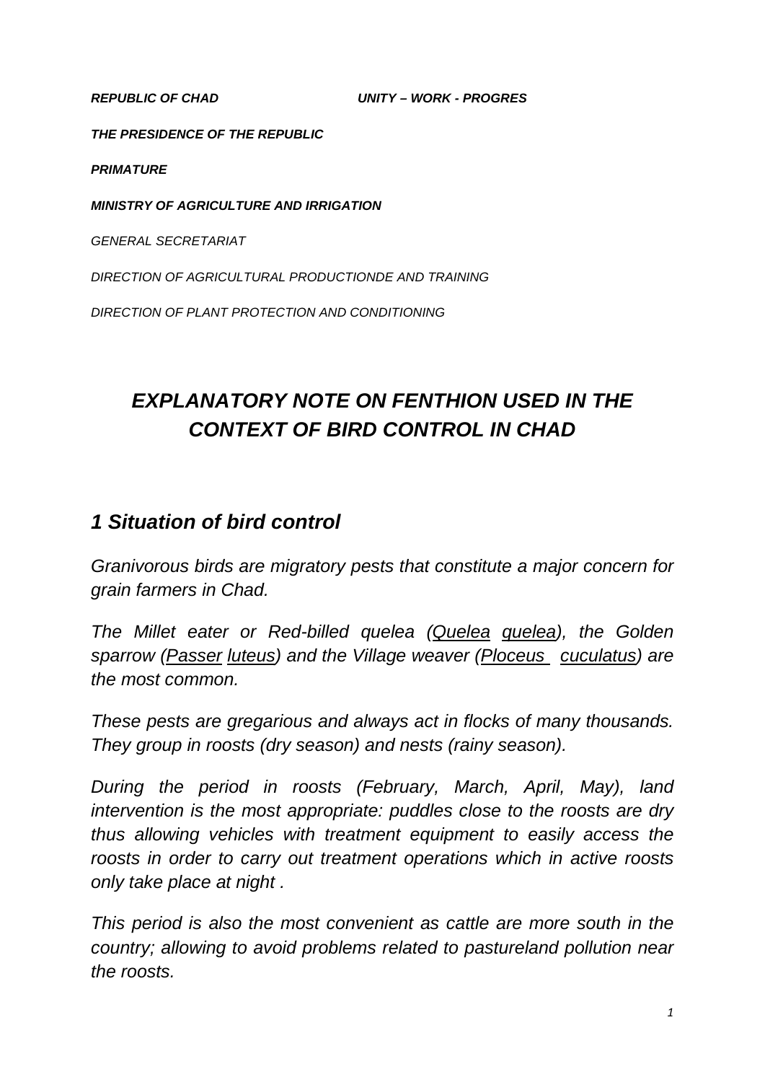*REPUBLIC OF CHAD UNITY – WORK - PROGRES* 

*THE PRESIDENCE OF THE REPUBLIC*

*PRIMATURE*

*MINISTRY OF AGRICULTURE AND IRRIGATION*

*GENERAL SECRETARIAT* 

*DIRECTION OF AGRICULTURAL PRODUCTIONDE AND TRAINING*

*DIRECTION OF PLANT PROTECTION AND CONDITIONING*

# *EXPLANATORY NOTE ON FENTHION USED IN THE CONTEXT OF BIRD CONTROL IN CHAD*

## *1 Situation of bird control*

*Granivorous birds are migratory pests that constitute a major concern for grain farmers in Chad.*

*The Millet eater or Red-billed quelea (Quelea quelea), the Golden sparrow (Passer luteus) and the Village weaver (Ploceus cuculatus ) are the most common.*

*These pests are gregarious and always act in flocks of many thousands. They group in roosts (dry season) and nests (rainy season).* 

*During the period in roosts (February, March, April, May), land intervention is the most appropriate: puddles close to the roosts are dry thus allowing vehicles with treatment equipment to easily access the roosts in order to carry out treatment operations which in active roosts only take place at night .* 

*This period is also the most convenient as cattle are more south in the country; allowing to avoid problems related to pastureland pollution near the roosts.*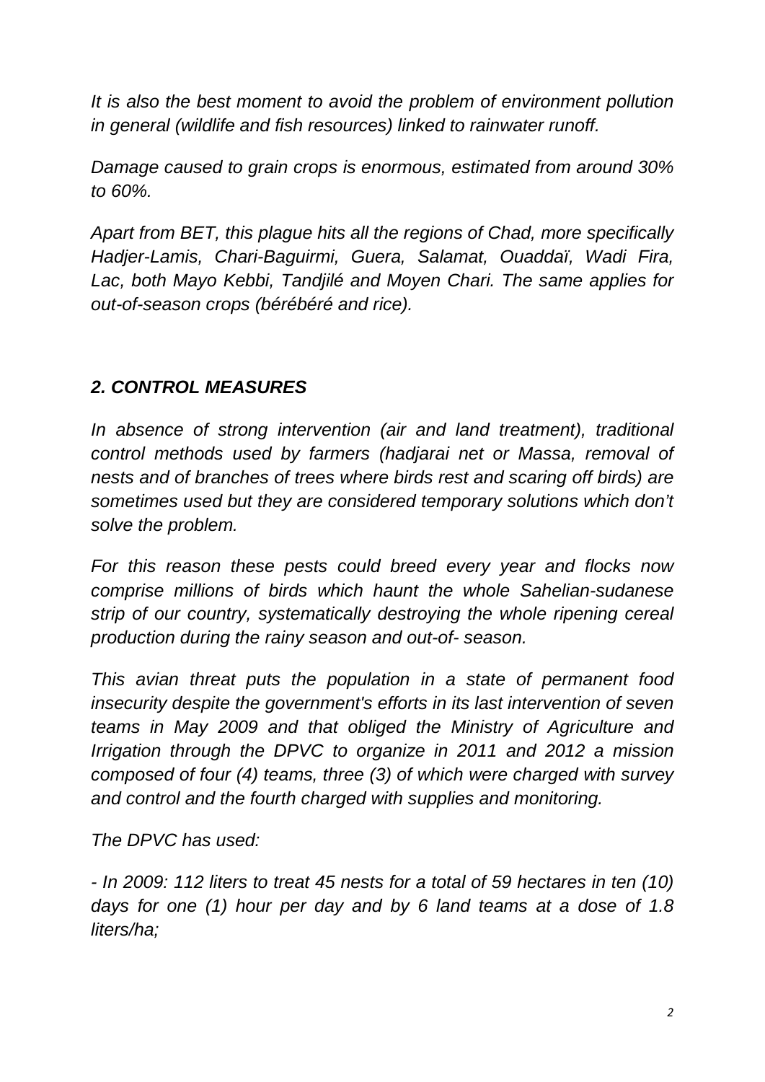*It is also the best moment to avoid the problem of environment pollution in general (wildlife and fish resources) linked to rainwater runoff.*

*Damage caused to grain crops is enormous, estimated from around 30% to 60%.*

*Apart from BET, this plague hits all the regions of Chad, more specifically Hadjer-Lamis, Chari-Baguirmi, Guera, Salamat, Ouaddaï, Wadi Fira, Lac, both Mayo Kebbi, Tandjilé and Moyen Chari. The same applies for out-of-season crops (bérébéré and rice).*

# *2. CONTROL MEASURES*

*In absence of strong intervention (air and land treatment), traditional control methods used by farmers (hadjarai net or Massa, removal of nests and of branches of trees where birds rest and scaring off birds) are sometimes used but they are considered temporary solutions which don't solve the problem.*

*For this reason these pests could breed every year and flocks now comprise millions of birds which haunt the whole Sahelian-sudanese strip of our country, systematically destroying the whole ripening cereal production during the rainy season and out-of- season.* 

*This avian threat puts the population in a state of permanent food insecurity despite the government's efforts in its last intervention of seven teams in May 2009 and that obliged the Ministry of Agriculture and Irrigation through the DPVC to organize in 2011 and 2012 a mission composed of four (4) teams, three (3) of which were charged with survey and control and the fourth charged with supplies and monitoring.*

*The DPVC has used:*

*- In 2009: 112 liters to treat 45 nests for a total of 59 hectares in ten (10) days for one (1) hour per day and by 6 land teams at a dose of 1.8 liters/ha;*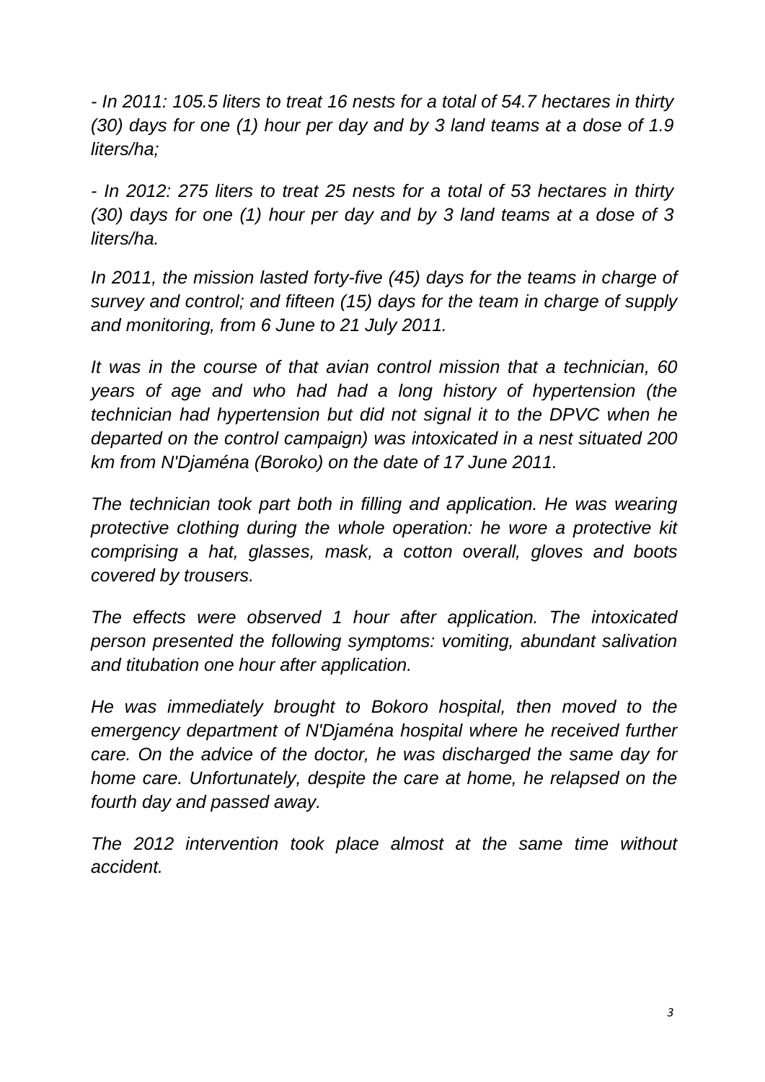*- In 2011: 105.5 liters to treat 16 nests for a total of 54.7 hectares in thirty (30) days for one (1) hour per day and by 3 land teams at a dose of 1.9 liters/ha;*

*- In 2012: 275 liters to treat 25 nests for a total of 53 hectares in thirty (30) days for one (1) hour per day and by 3 land teams at a dose of 3 liters/ha.*

*In 2011, the mission lasted forty-five (45) days for the teams in charge of survey and control; and fifteen (15) days for the team in charge of supply and monitoring, from 6 June to 21 July 2011.*

*It was in the course of that avian control mission that a technician, 60 years of age and who had had a long history of hypertension (the technician had hypertension but did not signal it to the DPVC when he departed on the control campaign) was intoxicated in a nest situated 200 km from N'Djaména (Boroko) on the date of 17 June 2011.* 

*The technician took part both in filling and application. He was wearing protective clothing during the whole operation: he wore a protective kit comprising a hat, glasses, mask, a cotton overall, gloves and boots covered by trousers.*

*The effects were observed 1 hour after application. The intoxicated person presented the following symptoms: vomiting, abundant salivation and titubation one hour after application.* 

*He was immediately brought to Bokoro hospital, then moved to the emergency department of N'Djaména hospital where he received further care. On the advice of the doctor, he was discharged the same day for home care. Unfortunately, despite the care at home, he relapsed on the fourth day and passed away.*

*The 2012 intervention took place almost at the same time without accident.*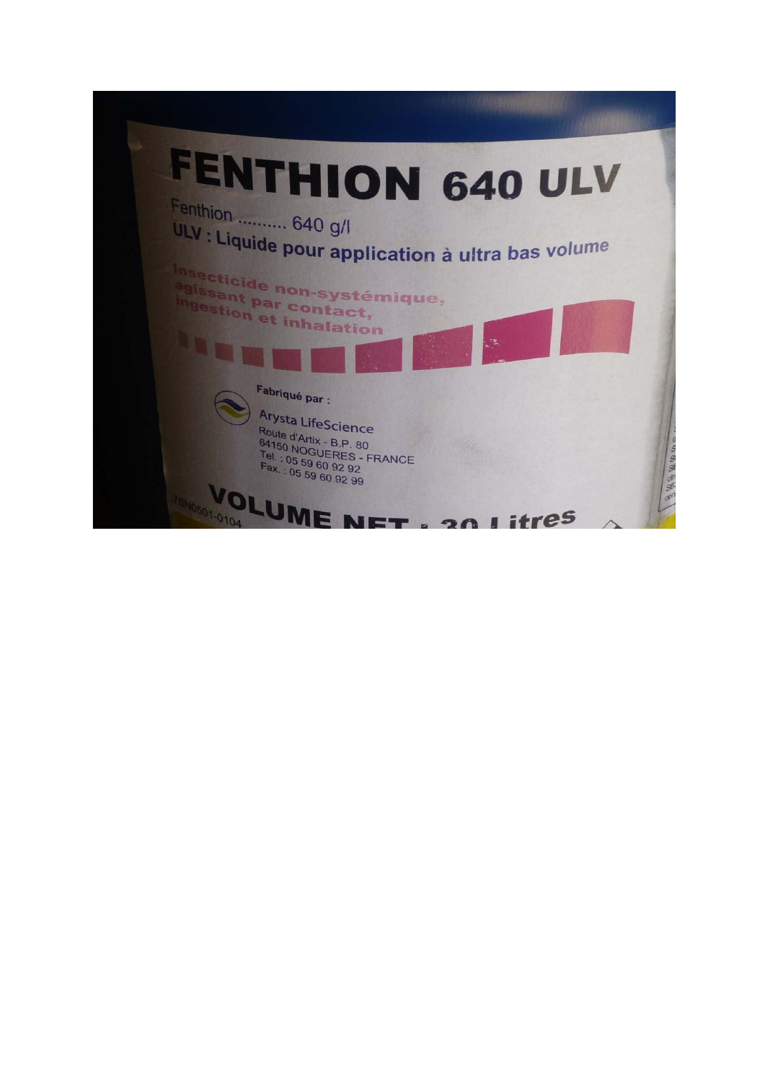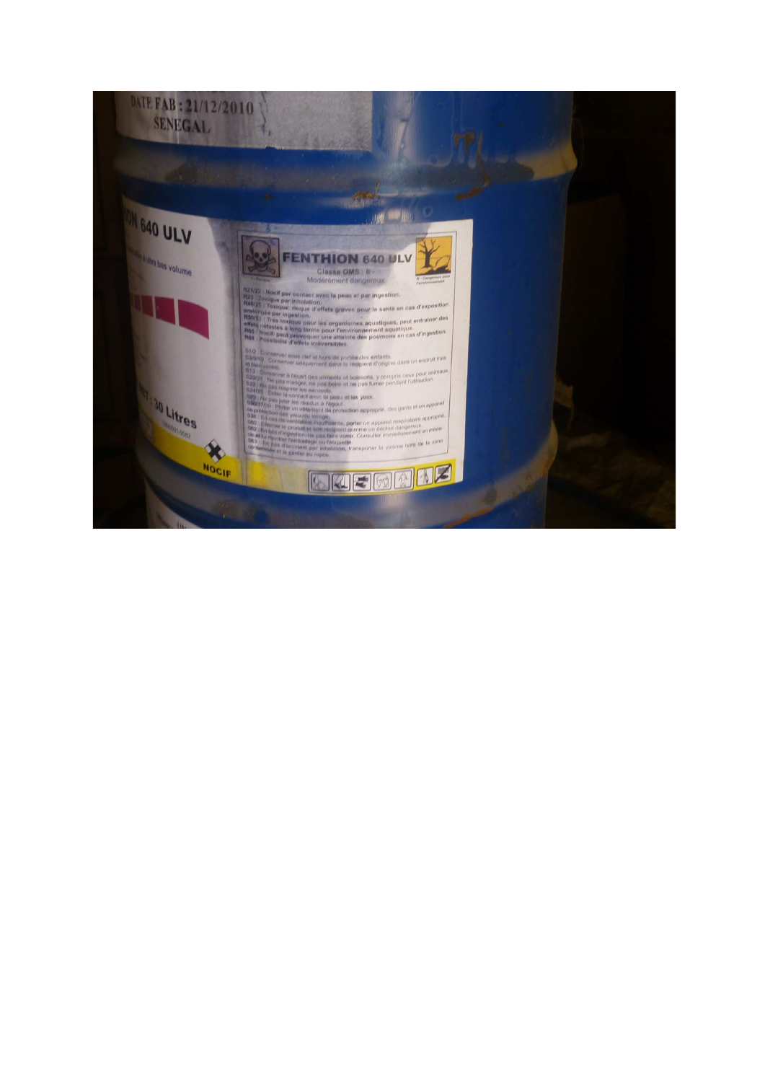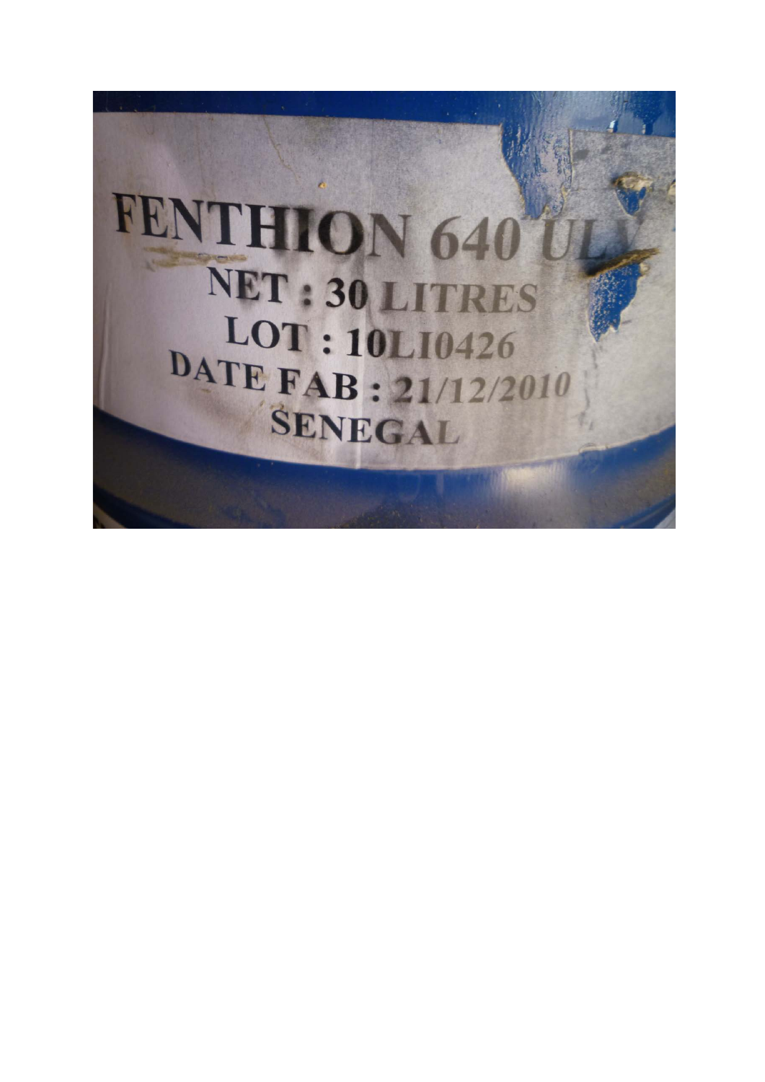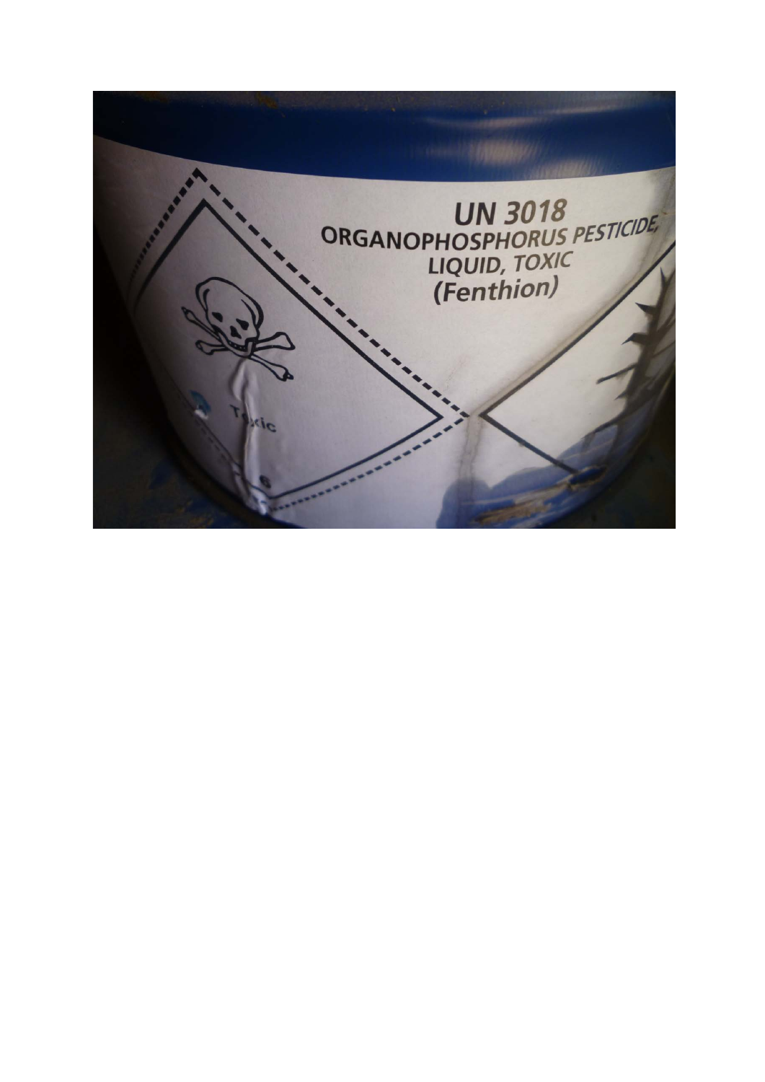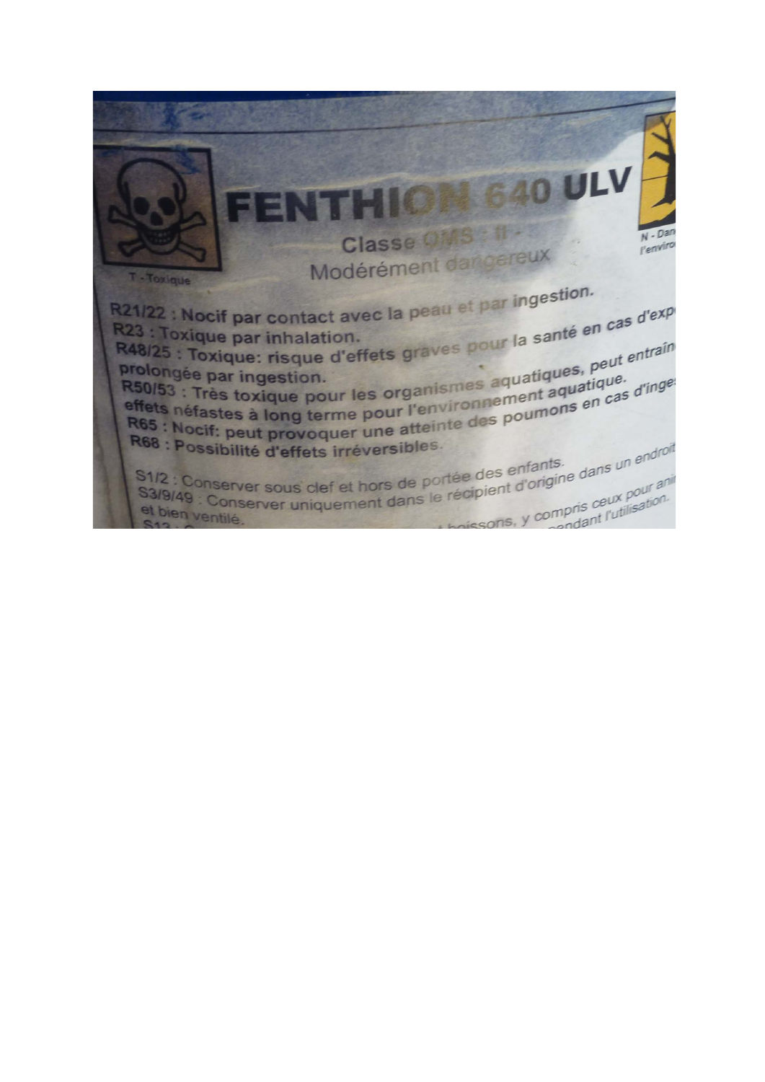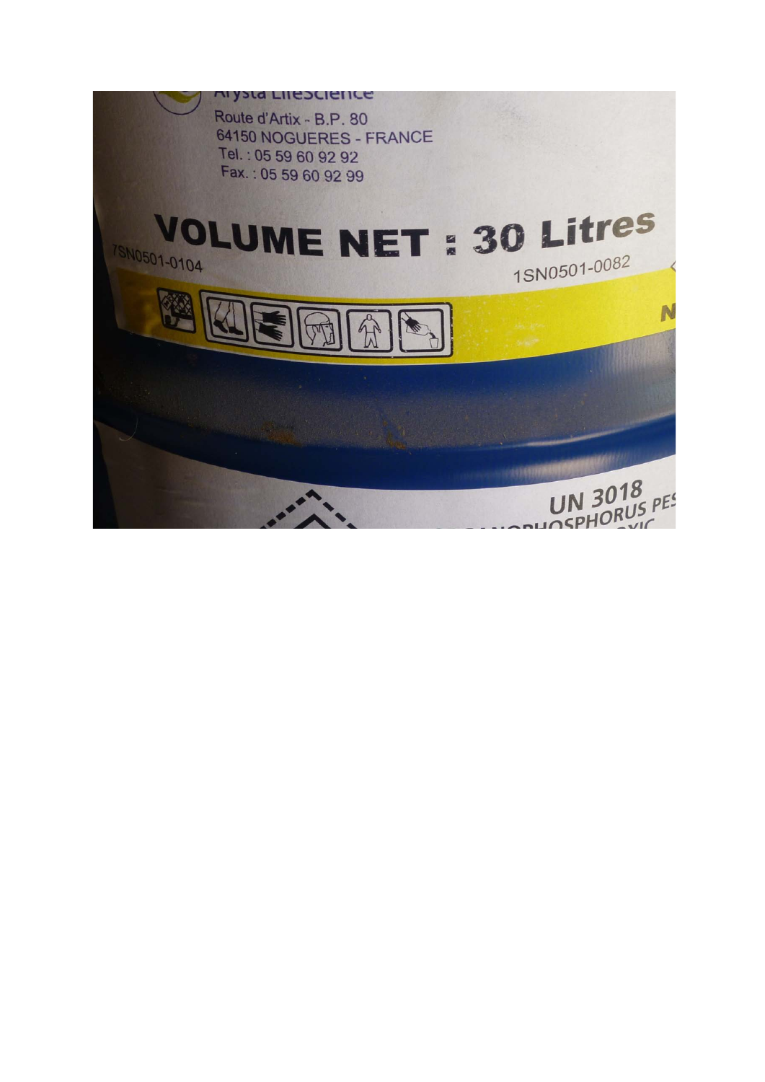